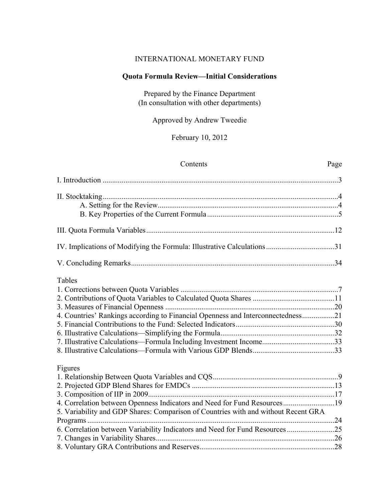## INTERNATIONAL MONETARY FUND

## **Quota Formula Review—Initial Considerations**

Prepared by the Finance Department (In consultation with other departments)

Approved by Andrew Tweedie

February 10, 2012

## Contents Page

| Tables                                                                             |  |
|------------------------------------------------------------------------------------|--|
|                                                                                    |  |
|                                                                                    |  |
|                                                                                    |  |
| 4. Countries' Rankings according to Financial Openness and Interconnectedness21    |  |
|                                                                                    |  |
|                                                                                    |  |
|                                                                                    |  |
|                                                                                    |  |
| Figures                                                                            |  |
|                                                                                    |  |
|                                                                                    |  |
|                                                                                    |  |
| 4. Correlation between Openness Indicators and Need for Fund Resources19           |  |
| 5. Variability and GDP Shares: Comparison of Countries with and without Recent GRA |  |
|                                                                                    |  |
|                                                                                    |  |
|                                                                                    |  |
|                                                                                    |  |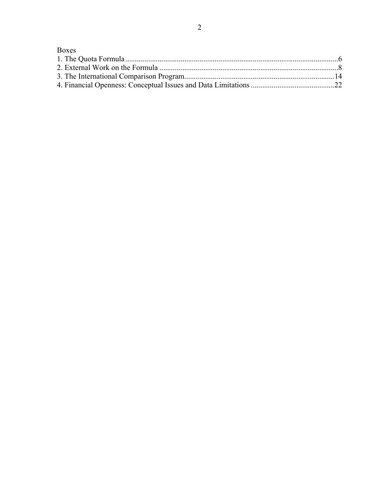# **Boxes**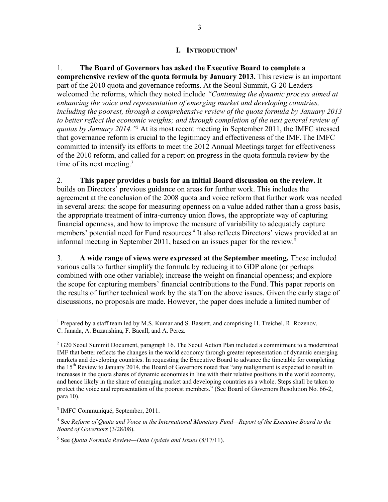## **I. INTRODUCTION1**

1. **The Board of Governors has asked the Executive Board to complete a comprehensive review of the quota formula by January 2013.** This review is an important part of the 2010 quota and governance reforms. At the Seoul Summit, G-20 Leaders welcomed the reforms, which they noted include *"Continuing the dynamic process aimed at enhancing the voice and representation of emerging market and developing countries, including the poorest, through a comprehensive review of the quota formula by January 2013 to better reflect the economic weights; and through completion of the next general review of quotas by January 2014."*<sup>2</sup> At its most recent meeting in September 2011, the IMFC stressed that governance reform is crucial to the legitimacy and effectiveness of the IMF.The IMFC committed to intensify its efforts to meet the 2012 Annual Meetings target for effectiveness of the 2010 reform, and called for a report on progress in the quota formula review by the time of its next meeting.<sup>3</sup>

2. **This paper provides a basis for an initial Board discussion on the review.** It builds on Directors' previous guidance on areas for further work. This includes the agreement at the conclusion of the 2008 quota and voice reform that further work was needed in several areas: the scope for measuring openness on a value added rather than a gross basis, the appropriate treatment of intra-currency union flows, the appropriate way of capturing financial openness, and how to improve the measure of variability to adequately capture members' potential need for Fund resources.<sup>4</sup> It also reflects Directors' views provided at an informal meeting in September 2011, based on an issues paper for the review.<sup>5</sup>

3. **A wide range of views were expressed at the September meeting.** These included various calls to further simplify the formula by reducing it to GDP alone (or perhaps combined with one other variable); increase the weight on financial openness; and explore the scope for capturing members' financial contributions to the Fund. This paper reports on the results of further technical work by the staff on the above issues. Given the early stage of discussions, no proposals are made. However, the paper does include a limited number of

<sup>&</sup>lt;sup>1</sup> Prepared by a staff team led by M.S. Kumar and S. Bassett, and comprising H. Treichel, R. Rozenov, C. Janada, A. Buzaushina, F. Bacall, and A. Perez.

 $2^{2}$  G20 Seoul Summit Document, paragraph 16. The Seoul Action Plan included a commitment to a modernized IMF that better reflects the changes in the world economy through greater representation of dynamic emerging markets and developing countries. In requesting the Executive Board to advance the timetable for completing the  $15<sup>th</sup>$  Review to January 2014, the Board of Governors noted that "any realignment is expected to result in increases in the quota shares of dynamic economies in line with their relative positions in the world economy, and hence likely in the share of emerging market and developing countries as a whole. Steps shall be taken to protect the voice and representation of the poorest members." (See Board of Governors Resolution No. 66-2, para 10).

<sup>3</sup> IMFC Communiqué, September, 2011.

<sup>&</sup>lt;sup>4</sup> See *Reform of Quota and Voice in the International Monetary Fund—Report of the Executive Board to the Board of Governors* (3/28/08).

<sup>5</sup> See *Quota Formula Review—Data Update and Issues* (8/17/11).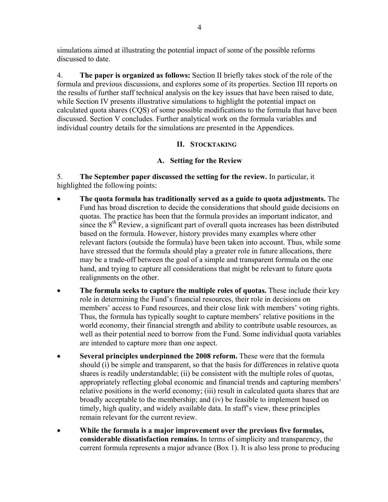simulations aimed at illustrating the potential impact of some of the possible reforms discussed to date.

4. **The paper is organized as follows:** Section II briefly takes stock of the role of the formula and previous discussions, and explores some of its properties. Section III reports on the results of further staff technical analysis on the key issues that have been raised to date, while Section IV presents illustrative simulations to highlight the potential impact on calculated quota shares (CQS) of some possible modifications to the formula that have been discussed. Section V concludes. Further analytical work on the formula variables and individual country details for the simulations are presented in the Appendices.

# **II. STOCKTAKING**

# **A. Setting for the Review**

5. **The September paper discussed the setting for the review.** In particular, it highlighted the following points:

- **The quota formula has traditionally served as a guide to quota adjustments.** The Fund has broad discretion to decide the considerations that should guide decisions on quotas. The practice has been that the formula provides an important indicator, and since the 8<sup>th</sup> Review, a significant part of overall quota increases has been distributed based on the formula. However, history provides many examples where other relevant factors (outside the formula) have been taken into account. Thus, while some have stressed that the formula should play a greater role in future allocations, there may be a trade-off between the goal of a simple and transparent formula on the one hand, and trying to capture all considerations that might be relevant to future quota realignments on the other.
- **The formula seeks to capture the multiple roles of quotas.** These include their key role in determining the Fund's financial resources, their role in decisions on members' access to Fund resources, and their close link with members' voting rights. Thus, the formula has typically sought to capture members' relative positions in the world economy, their financial strength and ability to contribute usable resources, as well as their potential need to borrow from the Fund. Some individual quota variables are intended to capture more than one aspect.
- **Several principles underpinned the 2008 reform.** These were that the formula should (i) be simple and transparent, so that the basis for differences in relative quota shares is readily understandable; (ii) be consistent with the multiple roles of quotas, appropriately reflecting global economic and financial trends and capturing members' relative positions in the world economy; (iii) result in calculated quota shares that are broadly acceptable to the membership; and (iv) be feasible to implement based on timely, high quality, and widely available data. In staff's view, these principles remain relevant for the current review.
- **While the formula is a major improvement over the previous five formulas, considerable dissatisfaction remains.** In terms of simplicity and transparency, the current formula represents a major advance (Box 1). It is also less prone to producing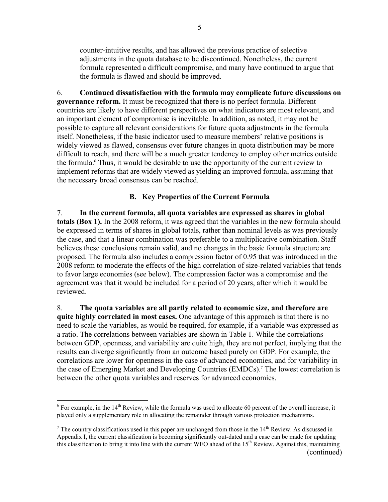counter-intuitive results, and has allowed the previous practice of selective adjustments in the quota database to be discontinued. Nonetheless, the current formula represented a difficult compromise, and many have continued to argue that the formula is flawed and should be improved.

6. **Continued dissatisfaction with the formula may complicate future discussions on governance reform.** It must be recognized that there is no perfect formula. Different countries are likely to have different perspectives on what indicators are most relevant, and an important element of compromise is inevitable. In addition, as noted, it may not be possible to capture all relevant considerations for future quota adjustments in the formula itself. Nonetheless, if the basic indicator used to measure members' relative positions is widely viewed as flawed, consensus over future changes in quota distribution may be more difficult to reach, and there will be a much greater tendency to employ other metrics outside the formula.<sup>6</sup> Thus, it would be desirable to use the opportunity of the current review to implement reforms that are widely viewed as yielding an improved formula, assuming that the necessary broad consensus can be reached.

## **B. Key Properties of the Current Formula**

7. **In the current formula, all quota variables are expressed as shares in global totals (Box 1).** In the 2008 reform, it was agreed that the variables in the new formula should be expressed in terms of shares in global totals, rather than nominal levels as was previously the case, and that a linear combination was preferable to a multiplicative combination. Staff believes these conclusions remain valid, and no changes in the basic formula structure are proposed. The formula also includes a compression factor of 0.95 that was introduced in the 2008 reform to moderate the effects of the high correlation of size-related variables that tends to favor large economies (see below). The compression factor was a compromise and the agreement was that it would be included for a period of 20 years, after which it would be reviewed.

8. **The quota variables are all partly related to economic size, and therefore are quite highly correlated in most cases.** One advantage of this approach is that there is no need to scale the variables, as would be required, for example, if a variable was expressed as a ratio. The correlations between variables are shown in Table 1. While the correlations between GDP, openness, and variability are quite high, they are not perfect, implying that the results can diverge significantly from an outcome based purely on GDP. For example, the correlations are lower for openness in the case of advanced economies, and for variability in the case of Emerging Market and Developing Countries (EMDCs).<sup>7</sup> The lowest correlation is between the other quota variables and reserves for advanced economies.

 $6$  For example, in the 14<sup>th</sup> Review, while the formula was used to allocate 60 percent of the overall increase, it played only a supplementary role in allocating the remainder through various protection mechanisms.

<sup>&</sup>lt;sup>7</sup> The country classifications used in this paper are unchanged from those in the  $14<sup>th</sup>$  Review. As discussed in Appendix I, the current classification is becoming significantly out-dated and a case can be made for updating this classification to bring it into line with the current WEO ahead of the 15<sup>th</sup> Review. Against this, maintaining (continued)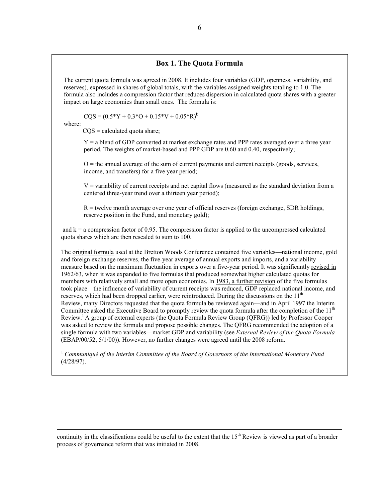#### **Box 1. The Quota Formula**

The current quota formula was agreed in 2008. It includes four variables (GDP, openness, variability, and reserves), expressed in shares of global totals, with the variables assigned weights totaling to 1.0. The formula also includes a compression factor that reduces dispersion in calculated quota shares with a greater impact on large economies than small ones. The formula is:

 $COS = (0.5*Y + 0.3*O + 0.15*V + 0.05*R)^{k}$ 

where:

 $CQS = calculated$  quota share;

 $Y = a$  blend of GDP converted at market exchange rates and PPP rates averaged over a three year period. The weights of market-based and PPP GDP are 0.60 and 0.40, respectively;

 $O =$  the annual average of the sum of current payments and current receipts (goods, services, income, and transfers) for a five year period;

 $V =$  variability of current receipts and net capital flows (measured as the standard deviation from a centered three-year trend over a thirteen year period);

 $R =$  twelve month average over one year of official reserves (foreign exchange, SDR holdings, reserve position in the Fund, and monetary gold);

and  $k = a$  compression factor of 0.95. The compression factor is applied to the uncompressed calculated quota shares which are then rescaled to sum to 100.

The original formula used at the Bretton Woods Conference contained five variables—national income, gold and foreign exchange reserves, the five-year average of annual exports and imports, and a variability measure based on the maximum fluctuation in exports over a five-year period. It was significantly revised in 1962/63, when it was expanded to five formulas that produced somewhat higher calculated quotas for members with relatively small and more open economies. In 1983, a further revision of the five formulas took place—the influence of variability of current receipts was reduced, GDP replaced national income, and reserves, which had been dropped earlier, were reintroduced. During the discussions on the  $11<sup>th</sup>$ Review, many Directors requested that the quota formula be reviewed again—and in April 1997 the Interim Committee asked the Executive Board to promptly review the quota formula after the completion of the 11<sup>th</sup> Review.1 A group of external experts (the Quota Formula Review Group (QFRG)) led by Professor Cooper was asked to review the formula and propose possible changes. The QFRG recommended the adoption of a single formula with two variables—market GDP and variability (see *External Review of the Quota Formula*  (EBAP/00/52, 5/1/00)). However, no further changes were agreed until the 2008 reform.  $\Delta$  , and the set of the set of  $\Delta$  , and  $\Delta$ 

<sup>1</sup> *Communiqué of the Interim Committee of the Board of Governors of the International Monetary Fund* (4/28/97).

continuity in the classifications could be useful to the extent that the  $15<sup>th</sup>$  Review is viewed as part of a broader process of governance reform that was initiated in 2008.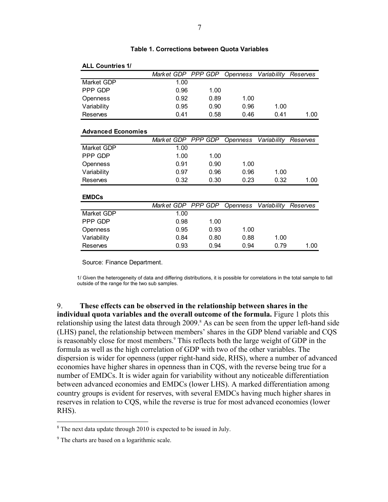| <b>ALL Countries 1/</b>   |                    |                |                        |                      |          |
|---------------------------|--------------------|----------------|------------------------|----------------------|----------|
|                           | Market GDP PPP GDP |                | <i><b>Openness</b></i> | Variability          | Reserves |
| Market GDP                | 1.00               |                |                        |                      |          |
| PPP GDP                   | 0.96               | 1.00           |                        |                      |          |
| Openness                  | 0.92               | 0.89           | 1.00                   |                      |          |
| Variability               | 0.95               | 0.90           | 0.96                   | 1.00                 |          |
| <b>Reserves</b>           | 0.41               | 0.58           | 0.46                   | 0.41                 | 1.00     |
|                           |                    |                |                        |                      |          |
| <b>Advanced Economies</b> |                    |                |                        |                      |          |
|                           | Market GDP PPP GDP |                | Openness               | Variability Reserves |          |
| Market GDP                | 1.00               |                |                        |                      |          |
| PPP GDP                   | 1.00               | 1.00           |                        |                      |          |
| Openness                  | 0.91               | 0.90           | 1.00                   |                      |          |
| Variability               | 0.97               | 0.96           | 0.96                   | 1.00                 |          |
| Reserves                  | 0.32               | 0.30           | 0.23                   | 0.32                 | 1.00     |
| <b>EMDCs</b>              |                    |                |                        |                      |          |
|                           | Mark et GDP        | <b>PPP GDP</b> | Openness               | Variability          | Reserves |
| Market GDP                | 1.00               |                |                        |                      |          |
| PPP GDP                   | 0.98               | 1.00           |                        |                      |          |
| Openness                  | 0.95               | 0.93           | 1.00                   |                      |          |
| Variability               | 0.84               | 0.80           | 0.88                   | 1.00                 |          |
| <b>Reserves</b>           | 0.93               | 0.94           | 0.94                   | 0.79                 | 1.00     |

## **Table 1. Corrections between Quota Variables**

Source: Finance Department.

1/ Given the heterogeneity of data and differing distributions, it is possible for correlations in the total sample to fall outside of the range for the two sub samples.

9. **These effects can be observed in the relationship between shares in the individual quota variables and the overall outcome of the formula.** Figure 1 plots this relationship using the latest data through 2009.<sup>8</sup> As can be seen from the upper left-hand side (LHS) panel, the relationship between members' shares in the GDP blend variable and CQS is reasonably close for most members.<sup>9</sup> This reflects both the large weight of GDP in the formula as well as the high correlation of GDP with two of the other variables. The dispersion is wider for openness (upper right-hand side, RHS), where a number of advanced economies have higher shares in openness than in CQS, with the reverse being true for a number of EMDCs. It is wider again for variability without any noticeable differentiation between advanced economies and EMDCs (lower LHS). A marked differentiation among country groups is evident for reserves, with several EMDCs having much higher shares in reserves in relation to CQS, while the reverse is true for most advanced economies (lower RHS).

<sup>&</sup>lt;sup>8</sup> The next data update through 2010 is expected to be issued in July.

<sup>&</sup>lt;sup>9</sup> The charts are based on a logarithmic scale.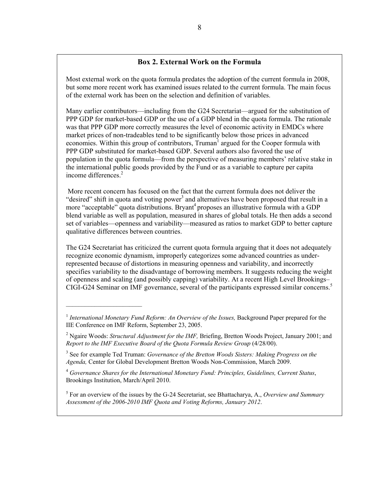## **Box 2. External Work on the Formula**

Most external work on the quota formula predates the adoption of the current formula in 2008, but some more recent work has examined issues related to the current formula. The main focus of the external work has been on the selection and definition of variables.

Many earlier contributors—including from the G24 Secretariat—argued for the substitution of PPP GDP for market-based GDP or the use of a GDP blend in the quota formula. The rationale was that PPP GDP more correctly measures the level of economic activity in EMDCs where market prices of non-tradeables tend to be significantly below those prices in advanced economies. Within this group of contributors, Truman<sup>1</sup> argued for the Cooper formula with PPP GDP substituted for market-based GDP. Several authors also favored the use of population in the quota formula—from the perspective of measuring members' relative stake in the international public goods provided by the Fund or as a variable to capture per capita income differences.<sup>2</sup>

 More recent concern has focused on the fact that the current formula does not deliver the "desired" shift in quota and voting power<sup>3</sup> and alternatives have been proposed that result in a more "acceptable" quota distributions. Bryant<sup>4</sup> proposes an illustrative formula with a GDP blend variable as well as population, measured in shares of global totals. He then adds a second set of variables—openness and variability—measured as ratios to market GDP to better capture qualitative differences between countries.

The G24 Secretariat has criticized the current quota formula arguing that it does not adequately recognize economic dynamism, improperly categorizes some advanced countries as underrepresented because of distortions in measuring openness and variability, and incorrectly specifies variability to the disadvantage of borrowing members. It suggests reducing the weight of openness and scaling (and possibly capping) variability. At a recent High Level Brookings– CIGI-G24 Seminar on IMF governance, several of the participants expressed similar concerns.<sup>5</sup>

 $\overline{\phantom{a}}$  , where  $\overline{\phantom{a}}$  , where  $\overline{\phantom{a}}$ 

5 For an overview of the issues by the G-24 Secretariat, see Bhattacharya, A., *Overview and Summary Assessment of the 2006-2010 IMF Quota and Voting Reforms, January 2012*.

<sup>&</sup>lt;sup>1</sup> International Monetary Fund Reform: An Overview of the Issues, Background Paper prepared for the IIE Conference on IMF Reform, September 23, 2005.

<sup>&</sup>lt;sup>2</sup> Ngaire Woods: *Structural Adjustment for the IMF*, Briefing, Bretton Woods Project, January 2001; and *Report to the IMF Executive Board of the Quota Formula Review Group* (4/28/00).

<sup>3</sup> See for example Ted Truman: *Governance of the Bretton Woods Sisters: Making Progress on the Agenda,* Center for Global Development Bretton Woods Non-Commission, March 2009.

<sup>4</sup>  *Governance Shares for the International Monetary Fund: Principles, Guidelines, Current Status*, Brookings Institution, March/April 2010.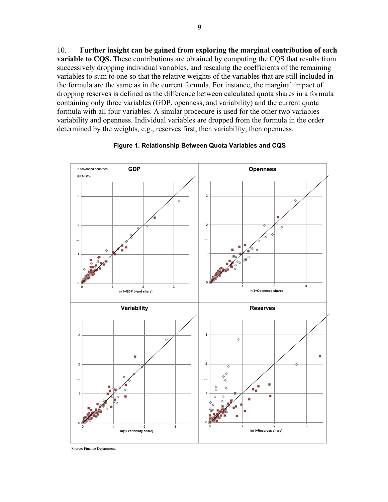10. **Further insight can be gained from exploring the marginal contribution of each variable to CQS.** These contributions are obtained by computing the CQS that results from successively dropping individual variables, and rescaling the coefficients of the remaining variables to sum to one so that the relative weights of the variables that are still included in the formula are the same as in the current formula. For instance, the marginal impact of dropping reserves is defined as the difference between calculated quota shares in a formula containing only three variables (GDP, openness, and variability) and the current quota formula with all four variables. A similar procedure is used for the other two variables variability and openness. Individual variables are dropped from the formula in the order determined by the weights, e.g., reserves first, then variability, then openness.



**Figure 1. Relationship Between Quota Variables and CQS**

Source: Finance Department.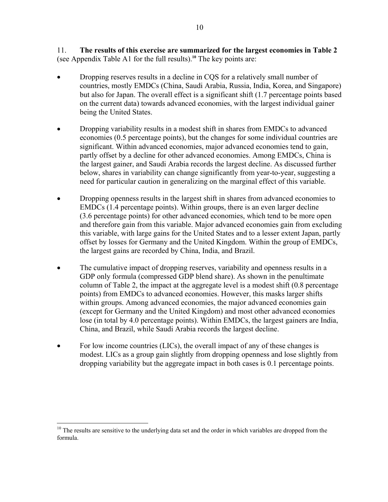11. **The results of this exercise are summarized for the largest economies in Table 2**  (see Appendix Table A1 for the full results).**<sup>10</sup>** The key points are:

- Dropping reserves results in a decline in CQS for a relatively small number of countries, mostly EMDCs (China, Saudi Arabia, Russia, India, Korea, and Singapore) but also for Japan. The overall effect is a significant shift (1.7 percentage points based on the current data) towards advanced economies, with the largest individual gainer being the United States.
- Dropping variability results in a modest shift in shares from EMDCs to advanced economies (0.5 percentage points), but the changes for some individual countries are significant. Within advanced economies, major advanced economies tend to gain, partly offset by a decline for other advanced economies. Among EMDCs, China is the largest gainer, and Saudi Arabia records the largest decline. As discussed further below, shares in variability can change significantly from year-to-year, suggesting a need for particular caution in generalizing on the marginal effect of this variable.
- Dropping openness results in the largest shift in shares from advanced economies to EMDCs (1.4 percentage points). Within groups, there is an even larger decline (3.6 percentage points) for other advanced economies, which tend to be more open and therefore gain from this variable. Major advanced economies gain from excluding this variable, with large gains for the United States and to a lesser extent Japan, partly offset by losses for Germany and the United Kingdom. Within the group of EMDCs, the largest gains are recorded by China, India, and Brazil.
- The cumulative impact of dropping reserves, variability and openness results in a GDP only formula (compressed GDP blend share). As shown in the penultimate column of Table 2, the impact at the aggregate level is a modest shift (0.8 percentage points) from EMDCs to advanced economies. However, this masks larger shifts within groups. Among advanced economies, the major advanced economies gain (except for Germany and the United Kingdom) and most other advanced economies lose (in total by 4.0 percentage points). Within EMDCs, the largest gainers are India, China, and Brazil, while Saudi Arabia records the largest decline.
- For low income countries (LICs), the overall impact of any of these changes is modest. LICs as a group gain slightly from dropping openness and lose slightly from dropping variability but the aggregate impact in both cases is 0.1 percentage points.

<u>.</u>

<sup>&</sup>lt;sup>10</sup> The results are sensitive to the underlying data set and the order in which variables are dropped from the formula.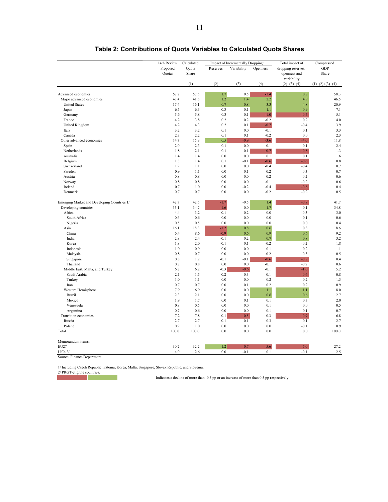|                                             | 14th Review | Calculated | Impact of Incrementally Dropping: |             | Total impact of | Compressed         |                   |
|---------------------------------------------|-------------|------------|-----------------------------------|-------------|-----------------|--------------------|-------------------|
|                                             | Proposed    | Quota      | Reserves                          | Variability | Openness        | dropping reserves, | GDP               |
|                                             | Quotas      | Share      |                                   |             |                 | openness and       | Share             |
|                                             |             |            |                                   |             |                 | variability        |                   |
|                                             |             | (1)        | (2)                               | (3)         | (4)             | $(2)+(3)+(4)$      | $(1)+(2)+(3)+(4)$ |
|                                             |             |            |                                   |             |                 |                    |                   |
| Advanced economies                          | 57.7        | 57.5       | 1.7                               | 0.5         | $-1.4$          | 0.8                | 58.3              |
| Major advanced economies                    | 43.4        | 41.6       | 1.2                               | 1.4         | 2.2             | 4.9                | 46.5              |
| <b>United States</b>                        | 17.4        | 16.1       | 0.7                               | 0.8         | 3.3             | 4.8                | 20.9              |
| Japan                                       | 6.5         | 6.3        | $-0.3$                            | 0.1         | 1.1             | 0.9                | 7.1               |
| Germany                                     | 5.6         | 5.8        | 0.3                               | 0.1         | $-1.0$          | $-0.7$             | 5.1               |
| France                                      | 4.2         | 3.8        | 0.2                               | 0.2         | $-0.2$          | 0.2                | 4.0               |
| United Kingdom                              | 4.2         | 4.3        | 0.2                               | 0.1         | $-0.7$          | $-0.4$             | 3.9               |
| Italy                                       | 3.2         | 3.2        | 0.1                               | 0.0         | $-0.1$          | 0.1                | 3.3               |
| Canada                                      | 2.3         | 2.2        | 0.1                               | 0.1         | $-0.2$          | 0.0                | 2.3               |
| Other advanced economies                    | 14.3        | 15.9       | 0.5                               | $-0.9$      | $-3.6$          | $-4.0$             | 11.8              |
| Spain                                       | 2.0         | 2.3        | 0.1                               | 0.0         | $-0.1$          | 0.1                | 2.4               |
| Netherlands                                 | 1.8         | 2.1        | 0.1                               | $-0.1$      | $-0.7$          | $-0.8$             | 1.3               |
| Australia                                   | 1.4         | 1.4        | 0.0                               | 0.0         | 0.1             | 0.1                | 1.6               |
| Belgium                                     | 1.3         | 1.4        | 0.1                               | $-0.1$      | $-0.6$          | $-0.6$             | 0.8               |
| Switzerland                                 | 1.2         | 1.1        | $0.0\,$                           | $0.0\,$     | $-0.4$          | $-0.4$             | 0.7               |
| Sweden                                      | 0.9         | 1.1        | 0.0                               | $-0.1$      | $-0.2$          | $-0.3$             | 0.7               |
| Austria                                     | 0.8         | 0.8        | 0.0                               | 0.0         | $-0.2$          | $-0.2$             | 0.6               |
| Norway                                      | 0.8         | 0.8        | 0.0                               | 0.0         | $-0.1$          | $-0.2$             | 0.6               |
| Ireland                                     | 0.7         | 1.0        | 0.0                               | $-0.2$      | $-0.4$          | $-0.6$             | 0.4               |
| Denmark                                     | 0.7         | 0.7        | 0.0                               | $0.0\,$     | $-0.2$          | $-0.2$             | 0.5               |
| Emerging Market and Developing Countries 1/ | 42.3        | 42.5       | $-1.7$                            | $-0.5$      | 1.4             | $-0.8$             | 41.7              |
| Developing countries                        | 35.1        | 34.7       | $-1.6$                            | 0.0         | 1.7             | 0.1                | 34.8              |
| Africa                                      | 4.4         | 3.2        | $-0.1$                            | $-0.2$      | 0.0             | $-0.3$             | 3.0               |
| South Africa                                | 0.6         | 0.6        | 0.0                               | 0.0         | 0.0             | 0.1                | 0.6               |
| Nigeria                                     | 0.5         | 0.5        | 0.0                               | 0.0         | 0.0             | 0.0                | 0.4               |
| Asia                                        | 16.1        | 18.3       | $-1.2$                            | 0.8         | 0.6             | 0.3                | 18.6              |
| China                                       | 6.4         | 8.6        | $-0.9$                            | 0.6         | 0.9             | 0.6                | 9.2               |
| India                                       | 2.8         | 2.4        | $-0.1$                            | 0.2         | 0.7             | 0.8                | 3.2               |
| Korea                                       | 1.8         | 2.0        | $-0.1$                            | 0.1         | $-0.2$          | $-0.2$             | 1.8               |
| Indonesia                                   | 1.0         | 0.9        | 0.0                               | 0.0         | 0.1             | 0.2                | 1.1               |
| Malaysia                                    | 0.8         | 0.7        | 0.0                               | 0.0         | $-0.2$          | $-0.3$             | 0.5               |
| Singapore                                   | 0.8         | 1.2        | $-0.1$                            | $-0.1$      | $-0.6$          | $-0.8$             | 0.4               |
| Thailand                                    | 0.7         | 0.8        | 0.0                               | 0.0         | $-0.1$          | $-0.2$             | 0.6               |
| Middle East, Malta, and Turkey              | 6.7         | 6.2        | $-0.3$                            | $-0.6$      | $-0.1$          | $-1.0$             | 5.2               |
| Saudi Arabia                                | 2.1         | 1.5        | $-0.2$                            | $-0.3$      | $-0.1$          | $-0.6$             | 0.8               |
| Turkey                                      | 1.0         | 1.1        | $0.0\,$                           | $0.0\,$     | 0.2             | 0.2                | 1.3               |
| Iran                                        | 0.7         | 0.7        | $0.0\,$                           | 0.1         | 0.2             | 0.2                | 0.9               |
| Western Hemisphere                          | 7.9         | 6.9        | 0.0                               | 0.0         | 1.1             | 1.1                | 8.0               |
| <b>Brazil</b>                               | 2.3         | 2.1        | 0.0                               | 0.0         | 0.6             | 0.6                | 2.7               |
| Mexico                                      | 1.9         | 1.7        | 0.0                               | 0.1         | 0.1             | 0.3                | 2.0               |
| Venezuela                                   | 0.8         | 0.5        | 0.0                               | 0.0         | 0.1             | 0.0                | 0.5               |
| Argentina                                   | 0.7         | 0.6        | 0.0                               | 0.0         | 0.1             | 0.1                | 0.7               |
| Transition economies                        | 7.2         | 7.8        | $-0.1$                            | $-0.5$      | $-0.3$          | $-0.9$             | 6.8               |
| Russia                                      | 2.7         | 2.7        | $-0.1$                            | $-0.1$      | 0.3             | 0.1                | 2.7               |
| Poland                                      | 0.9         | 1.0        | 0.0                               | 0.0         | 0.0             | $-0.1$             | 0.9               |
| Total                                       | 100.0       | 100.0      | 0.0                               | 0.0         | 0.0             | 0.0                | 100.0             |
| Memorandum items:                           |             |            |                                   |             |                 |                    |                   |
| EU27                                        | 30.2        | 32.2       | 1.2                               | $-0.7$      | $-5.6$          | $-5.0$             | 27.2              |
| $LICs$ $2/$                                 | 4.0         | 2.6        | 0.0                               | $-0.1$      | 0.1             | $-0.1$             | 2.5               |
| Source: Finance Department.                 |             |            |                                   |             |                 |                    |                   |

## **Table 2: Contributions of Quota Variables to Calculated Quota Shares**

1/ Including Czech Republic, Estonia, Korea, Malta, Singapore, Slovak Republic, and Slovenia.

2/ PRGT-eligible countries.

Indicates a decline of more than -0.5 pp or an increase of more than 0.5 pp respectively.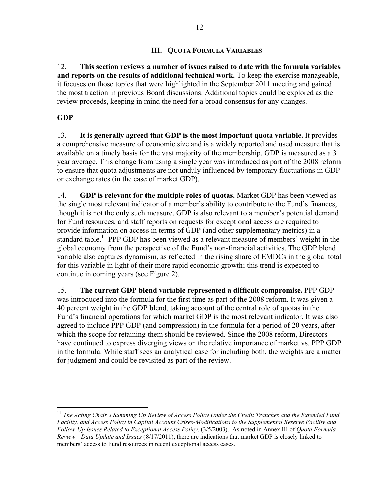# **III. QUOTA FORMULA VARIABLES**

12. **This section reviews a number of issues raised to date with the formula variables and reports on the results of additional technical work.** To keep the exercise manageable, it focuses on those topics that were highlighted in the September 2011 meeting and gained the most traction in previous Board discussions. Additional topics could be explored as the review proceeds, keeping in mind the need for a broad consensus for any changes.

# **GDP**

1

13. **It is generally agreed that GDP is the most important quota variable.** It provides a comprehensive measure of economic size and is a widely reported and used measure that is available on a timely basis for the vast majority of the membership. GDP is measured as a 3 year average. This change from using a single year was introduced as part of the 2008 reform to ensure that quota adjustments are not unduly influenced by temporary fluctuations in GDP or exchange rates (in the case of market GDP).

14. **GDP is relevant for the multiple roles of quotas.** Market GDP has been viewed as the single most relevant indicator of a member's ability to contribute to the Fund's finances, though it is not the only such measure. GDP is also relevant to a member's potential demand for Fund resources, and staff reports on requests for exceptional access are required to provide information on access in terms of GDP (and other supplementary metrics) in a standard table.<sup>11</sup> PPP GDP has been viewed as a relevant measure of members' weight in the global economy from the perspective of the Fund's non-financial activities. The GDP blend variable also captures dynamism, as reflected in the rising share of EMDCs in the global total for this variable in light of their more rapid economic growth; this trend is expected to continue in coming years (see Figure 2).

15. **The current GDP blend variable represented a difficult compromise.** PPP GDP was introduced into the formula for the first time as part of the 2008 reform. It was given a 40 percent weight in the GDP blend, taking account of the central role of quotas in the Fund's financial operations for which market GDP is the most relevant indicator. It was also agreed to include PPP GDP (and compression) in the formula for a period of 20 years, after which the scope for retaining them should be reviewed. Since the 2008 reform, Directors have continued to express diverging views on the relative importance of market vs. PPP GDP in the formula. While staff sees an analytical case for including both, the weights are a matter for judgment and could be revisited as part of the review.

<sup>11</sup> *The Acting Chair's Summing Up Review of Access Policy Under the Credit Tranches and the Extended Fund Facility, and Access Policy in Capital Account Crises-Modifications to the Supplemental Reserve Facility and Follow-Up Issues Related to Exceptional Access Policy*, (3/5/2003). As noted in Annex III of *Quota Formula Review—Data Update and Issues* (8/17/2011), there are indications that market GDP is closely linked to members' access to Fund resources in recent exceptional access cases.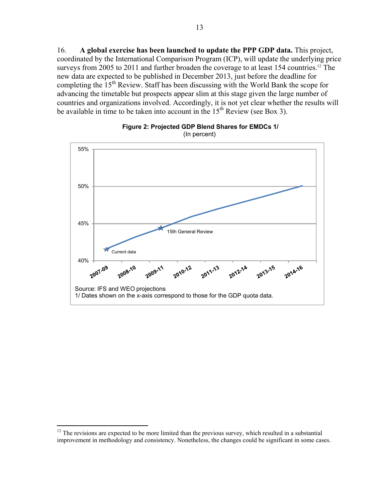16. **A global exercise has been launched to update the PPP GDP data.** This project, coordinated by the International Comparison Program (ICP), will update the underlying price surveys from 2005 to 2011 and further broaden the coverage to at least 154 countries.<sup>12</sup> The new data are expected to be published in December 2013, just before the deadline for completing the  $15<sup>th</sup>$  Review. Staff has been discussing with the World Bank the scope for advancing the timetable but prospects appear slim at this stage given the large number of countries and organizations involved. Accordingly, it is not yet clear whether the results will be available in time to be taken into account in the  $15<sup>th</sup>$  Review (see Box 3).



## **Figure 2: Projected GDP Blend Shares for EMDCs 1/**  (In percent)

1

 $12$  The revisions are expected to be more limited than the previous survey, which resulted in a substantial improvement in methodology and consistency. Nonetheless, the changes could be significant in some cases.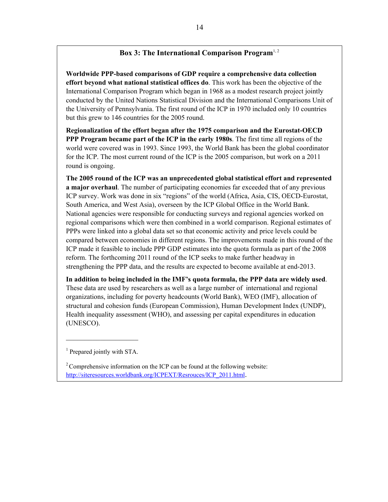# **Box 3: The International Comparison Program**<sup>1,2</sup>

**Worldwide PPP-based comparisons of GDP require a comprehensive data collection effort beyond what national statistical offices do**. This work has been the objective of the International Comparison Program which began in 1968 as a modest research project jointly conducted by the United Nations Statistical Division and the International Comparisons Unit of the University of Pennsylvania. The first round of the ICP in 1970 included only 10 countries but this grew to 146 countries for the 2005 round.

**Regionalization of the effort began after the 1975 comparison and the Eurostat-OECD PPP Program became part of the ICP in the early 1980s**. The first time all regions of the world were covered was in 1993. Since 1993, the World Bank has been the global coordinator for the ICP. The most current round of the ICP is the 2005 comparison, but work on a 2011 round is ongoing.

**The 2005 round of the ICP was an unprecedented global statistical effort and represented a major overhaul**. The number of participating economies far exceeded that of any previous ICP survey. Work was done in six "regions" of the world (Africa, Asia, CIS, OECD-Eurostat, South America, and West Asia), overseen by the ICP Global Office in the World Bank. National agencies were responsible for conducting surveys and regional agencies worked on regional comparisons which were then combined in a world comparison. Regional estimates of PPPs were linked into a global data set so that economic activity and price levels could be compared between economies in different regions. The improvements made in this round of the ICP made it feasible to include PPP GDP estimates into the quota formula as part of the 2008 reform. The forthcoming 2011 round of the ICP seeks to make further headway in strengthening the PPP data, and the results are expected to become available at end-2013.

**In addition to being included in the IMF's quota formula, the PPP data are widely used**. These data are used by researchers as well as a large number of international and regional organizations, including for poverty headcounts (World Bank), WEO (IMF), allocation of structural and cohesion funds (European Commission), Human Development Index (UNDP), Health inequality assessment (WHO), and assessing per capital expenditures in education (UNESCO).

 $\overline{\phantom{a}}$  , where  $\overline{\phantom{a}}$ 

<sup>&</sup>lt;sup>1</sup> Prepared jointly with STA.

 $2^2$  Comprehensive information on the ICP can be found at the following website: http://siteresources.worldbank.org/ICPEXT/Resrouces/ICP\_2011.html.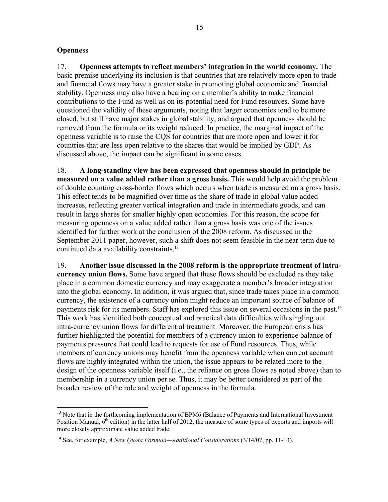## **Openness**

1

17. **Openness attempts to reflect members' integration in the world economy.** The basic premise underlying its inclusion is that countries that are relatively more open to trade and financial flows may have a greater stake in promoting global economic and financial stability. Openness may also have a bearing on a member's ability to make financial contributions to the Fund as well as on its potential need for Fund resources. Some have questioned the validity of these arguments, noting that larger economies tend to be more closed, but still have major stakes in globalstability, and argued that openness should be removed from the formula or its weight reduced. In practice, the marginal impact of the openness variable is to raise the CQS for countries that are more open and lower it for countries that are less open relative to the shares that would be implied by GDP. As discussed above, the impact can be significant in some cases.

18. **A long-standing view has been expressed that openness should in principle be measured on a value added rather than a gross basis.** This would help avoid the problem of double counting cross-border flows which occurs when trade is measured on a gross basis. This effect tends to be magnified over time as the share of trade in global value added increases, reflecting greater vertical integration and trade in intermediate goods, and can result in large shares for smaller highly open economies. For this reason, the scope for measuring openness on a value added rather than a gross basis was one of the issues identified for further work at the conclusion of the 2008 reform. As discussed in the September 2011 paper, however, such a shift does not seem feasible in the near term due to continued data availability constraints.<sup>13</sup>

19. **Another issue discussed in the 2008 reform is the appropriate treatment of intracurrency union flows.** Some have argued that these flows should be excluded as they take place in a common domestic currency and may exaggerate a member's broader integration into the global economy. In addition, it was argued that, since trade takes place in a common currency, the existence of a currency union might reduce an important source of balance of payments risk for its members. Staff has explored this issue on several occasions in the past.<sup>14</sup> This work has identified both conceptual and practical data difficulties with singling out intra-currency union flows for differential treatment. Moreover, the European crisis has further highlighted the potential for members of a currency union to experience balance of payments pressures that could lead to requests for use of Fund resources. Thus, while members of currency unions may benefit from the openness variable when current account flows are highly integrated within the union, the issue appears to be related more to the design of the openness variable itself (i.e., the reliance on gross flows as noted above) than to membership in a currency union per se. Thus, it may be better considered as part of the broader review of the role and weight of openness in the formula.

 $<sup>13</sup>$  Note that in the forthcoming implementation of BPM6 (Balance of Payments and International Investment</sup> Position Manual,  $6<sup>th</sup>$  edition) in the latter half of 2012, the measure of some types of exports and imports will more closely approximate value added trade.

<sup>14</sup> See, for example, *A New Quota Formula—Additional Considerations* (3/14/07, pp. 11-13).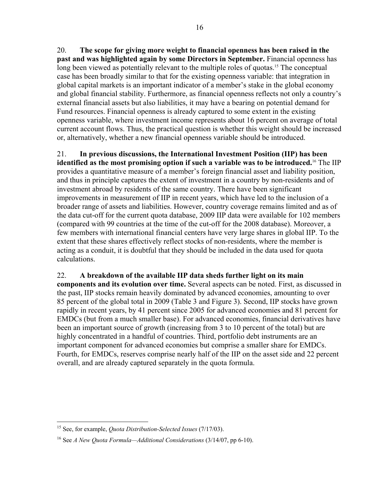20. **The scope for giving more weight to financial openness has been raised in the past and was highlighted again by some Directors in September.** Financial openness has long been viewed as potentially relevant to the multiple roles of quotas.<sup>15</sup> The conceptual case has been broadly similar to that for the existing openness variable: that integration in global capital markets is an important indicator of a member's stake in the global economy and global financial stability. Furthermore, as financial openness reflects not only a country's external financial assets but also liabilities, it may have a bearing on potential demand for Fund resources. Financial openness is already captured to some extent in the existing openness variable, where investment income represents about 16 percent on average of total current account flows. Thus, the practical question is whether this weight should be increased or, alternatively, whether a new financial openness variable should be introduced.

21. **In previous discussions, the International Investment Position (IIP) has been identified as the most promising option if such a variable was to be introduced.**16 The IIP provides a quantitative measure of a member's foreign financial asset and liability position, and thus in principle captures the extent of investment in a country by non-residents and of investment abroad by residents of the same country. There have been significant improvements in measurement of IIP in recent years, which have led to the inclusion of a broader range of assets and liabilities. However, country coverage remains limited and as of the data cut-off for the current quota database, 2009 IIP data were available for 102 members (compared with 99 countries at the time of the cut-off for the 2008 database). Moreover, a few members with international financial centers have very large shares in global IIP. To the extent that these shares effectively reflect stocks of non-residents, where the member is acting as a conduit, it is doubtful that they should be included in the data used for quota calculations.

# 22. **A breakdown of the available IIP data sheds further light on its main**

**components and its evolution over time.** Several aspects can be noted. First, as discussed in the past, IIP stocks remain heavily dominated by advanced economies, amounting to over 85 percent of the global total in 2009 (Table 3 and Figure 3). Second, IIP stocks have grown rapidly in recent years, by 41 percent since 2005 for advanced economies and 81 percent for EMDCs (but from a much smaller base). For advanced economies, financial derivatives have been an important source of growth (increasing from 3 to 10 percent of the total) but are highly concentrated in a handful of countries. Third, portfolio debt instruments are an important component for advanced economies but comprise a smaller share for EMDCs. Fourth, for EMDCs, reserves comprise nearly half of the IIP on the asset side and 22 percent overall, and are already captured separately in the quota formula.

<sup>1</sup> 15 See, for example, *Quota Distribution-Selected Issues* (7/17/03).

<sup>16</sup> See *A New Quota Formula—Additional Considerations* (3/14/07, pp 6-10).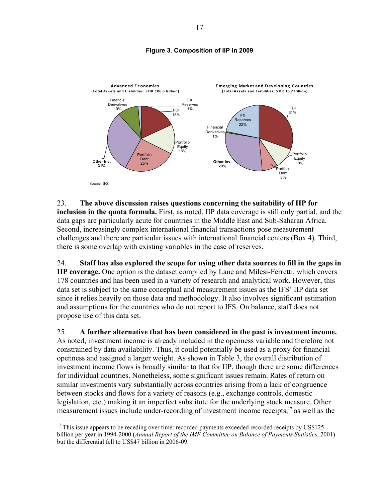## **Figure 3**. **Composition of IIP in 2009**



23. **The above discussion raises questions concerning the suitability of IIP for inclusion in the quota formula.** First, as noted, IIP data coverage is still only partial, and the data gaps are particularly acute for countries in the Middle East and Sub-Saharan Africa. Second, increasingly complex international financial transactions pose measurement challenges and there are particular issues with international financial centers (Box 4). Third, there is some overlap with existing variables in the case of reserves.

24. **Staff has also explored the scope for using other data sources to fill in the gaps in IIP coverage.** One option is the dataset compiled by Lane and Milesi-Ferretti, which covers 178 countries and has been used in a variety of research and analytical work. However, this data set is subject to the same conceptual and measurement issues as the IFS' IIP data set since it relies heavily on those data and methodology. It also involves significant estimation and assumptions for the countries who do not report to IFS. On balance, staff does not propose use of this data set.

25. **A further alternative that has been considered in the past is investment income.** As noted, investment income is already included in the openness variable and therefore not constrained by data availability. Thus, it could potentially be used as a proxy for financial openness and assigned a larger weight. As shown in Table 3, the overall distribution of investment income flows is broadly similar to that for IIP, though there are some differences for individual countries. Nonetheless, some significant issues remain. Rates of return on similar investments vary substantially across countries arising from a lack of congruence between stocks and flows for a variety of reasons (e.g., exchange controls, domestic legislation, etc.) making it an imperfect substitute for the underlying stock measure. Other measurement issues include under-recording of investment income receipts, $17$  as well as the

 $17$  This issue appears to be receding over time: recorded payments exceeded recorded receipts by US\$125 billion per year in 1994-2000 (*Annual Report of the IMF Committee on Balance of Payments Statistics*, 2001) but the differential fell to US\$47 billion in 2006-09.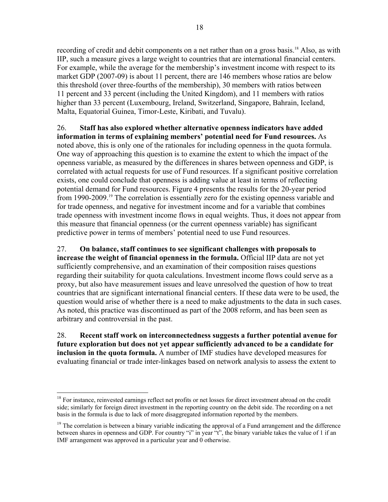recording of credit and debit components on a net rather than on a gross basis.<sup>18</sup> Also, as with IIP, such a measure gives a large weight to countries that are international financial centers. For example, while the average for the membership's investment income with respect to its market GDP (2007-09) is about 11 percent, there are 146 members whose ratios are below this threshold (over three-fourths of the membership), 30 members with ratios between 11 percent and 33 percent (including the United Kingdom), and 11 members with ratios higher than 33 percent (Luxembourg, Ireland, Switzerland, Singapore, Bahrain, Iceland, Malta, Equatorial Guinea, Timor-Leste, Kiribati, and Tuvalu).

26. **Staff has also explored whether alternative openness indicators have added information in terms of explaining members' potential need for Fund resources.** As noted above, this is only one of the rationales for including openness in the quota formula. One way of approaching this question is to examine the extent to which the impact of the openness variable, as measured by the differences in shares between openness and GDP, is correlated with actual requests for use of Fund resources. If a significant positive correlation exists, one could conclude that openness is adding value at least in terms of reflecting potential demand for Fund resources. Figure 4 presents the results for the 20-year period from 1990-2009.<sup>19</sup> The correlation is essentially zero for the existing openness variable and for trade openness, and negative for investment income and for a variable that combines trade openness with investment income flows in equal weights. Thus, it does not appear from this measure that financial openness (or the current openness variable) has significant predictive power in terms of members' potential need to use Fund resources.

27. **On balance, staff continues to see significant challenges with proposals to increase the weight of financial openness in the formula.** Official IIP data are not yet sufficiently comprehensive, and an examination of their composition raises questions regarding their suitability for quota calculations. Investment income flows could serve as a proxy, but also have measurement issues and leave unresolved the question of how to treat countries that are significant international financial centers. If these data were to be used, the question would arise of whether there is a need to make adjustments to the data in such cases. As noted, this practice was discontinued as part of the 2008 reform, and has been seen as arbitrary and controversial in the past.

28. **Recent staff work on interconnectedness suggests a further potential avenue for future exploration but does not yet appear sufficiently advanced to be a candidate for inclusion in the quota formula.** A number of IMF studies have developed measures for evaluating financial or trade inter-linkages based on network analysis to assess the extent to

<sup>&</sup>lt;sup>18</sup> For instance, reinvested earnings reflect net profits or net losses for direct investment abroad on the credit side; similarly for foreign direct investment in the reporting country on the debit side. The recording on a net basis in the formula is due to lack of more disaggregated information reported by the members.

 $19$  The correlation is between a binary variable indicating the approval of a Fund arrangement and the difference between shares in openness and GDP. For country "i" in year "t", the binary variable takes the value of 1 if an IMF arrangement was approved in a particular year and 0 otherwise.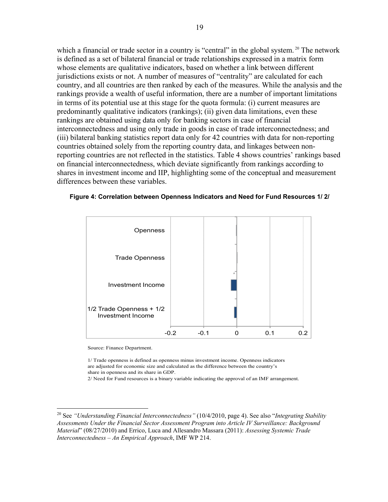which a financial or trade sector in a country is "central" in the global system. <sup>20</sup> The network is defined as a set of bilateral financial or trade relationships expressed in a matrix form whose elements are qualitative indicators, based on whether a link between different jurisdictions exists or not. A number of measures of "centrality" are calculated for each country, and all countries are then ranked by each of the measures. While the analysis and the rankings provide a wealth of useful information, there are a number of important limitations in terms of its potential use at this stage for the quota formula: (i) current measures are predominantly qualitative indicators (rankings); (ii) given data limitations, even these rankings are obtained using data only for banking sectors in case of financial interconnectedness and using only trade in goods in case of trade interconnectedness; and (iii) bilateral banking statistics report data only for 42 countries with data for non-reporting countries obtained solely from the reporting country data, and linkages between nonreporting countries are not reflected in the statistics. Table 4 shows countries' rankings based on financial interconnectedness, which deviate significantly from rankings according to shares in investment income and IIP, highlighting some of the conceptual and measurement differences between these variables.





Source: Finance Department.

1

1/ Trade openness is defined as openness minus investment income. Openness indicators are adjusted for economic size and calculated as the difference between the country's share in openness and its share in GDP.

2/ Need for Fund resources is a binary variable indicating the approval of an IMF arrangement.

<sup>20</sup> See *"Understanding Financial Interconnectedness"* (10/4/2010, page 4). See also "*Integrating Stability Assessments Under the Financial Sector Assessment Program into Article IV Surveillance: Background Material*" (08/27/2010) and Errico, Luca and Allesandro Massara (2011): *Assessing Systemic Trade Interconnectedness – An Empirical Approach*, IMF WP 214.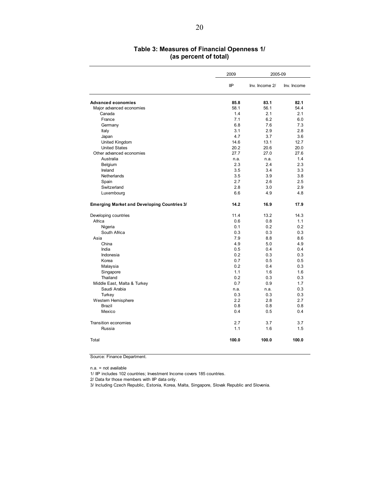## **Table 3: Measures of Financial Openness 1/ (as percent of total)**

|                                                    | 2009        | 2005-09        |             |
|----------------------------------------------------|-------------|----------------|-------------|
|                                                    | IIP         | Inv. Income 2/ | Inv. Income |
| <b>Advanced economies</b>                          | 85.8        | 83.1           | 82.1        |
| Major advanced economies                           | 58.1        | 56.1           | 54.4        |
| Canada                                             | 1.4         | 2.1            | 2.1         |
| France                                             | 7.1         | 6.2            | 6.0         |
| Germany                                            | 6.8         | 7.6            | 7.3         |
| Italy                                              | 3.1         | 2.9            | 2.8         |
| Japan                                              | 4.7         | 3.7            | 3.6         |
| United Kingdom                                     | 14.6        | 13.1           | 12.7        |
| <b>United States</b>                               | 20.2        | 20.6           | 20.0        |
| Other advanced economies                           | 27.7        | 27.0           | 27.6        |
| Australia                                          | n.a.<br>2.3 | n.a.<br>2.4    | 1.4<br>2.3  |
| Belgium<br>Ireland                                 | 3.5         | 3.4            | 3.3         |
| Netherlands                                        | 3.5         | 3.9            | 3.8         |
| Spain                                              | 2.7         | 2.6            | 2.5         |
| Switzerland                                        | 2.8         | 3.0            | 2.9         |
| Luxembourg                                         | 6.6         | 4.9            | 4.8         |
|                                                    |             |                |             |
| <b>Emerging Market and Developing Countries 3/</b> | 14.2        | 16.9           | 17.9        |
| Developing countries                               | 11.4        | 13.2           | 14.3        |
| Africa                                             | 0.6         | 0.8            | 1.1         |
| Nigeria                                            | 0.1         | 0.2            | 0.2         |
| South Africa                                       | 0.3         | 0.3            | 0.3         |
| Asia                                               | 7.9         | 8.8            | 8.6         |
| China                                              | 4.9         | 5.0            | 4.9         |
| India                                              | 0.5         | 0.4            | 0.4         |
| Indonesia                                          | 0.2         | 0.3            | 0.3         |
| Korea                                              | 0.7         | 0.5            | 0.5         |
| Malaysia                                           | 0.2         | 0.4            | 0.3         |
| Singapore                                          | 1.1         | 1.6            | 1.6         |
| Thailand                                           | 0.2         | 0.3            | 0.3         |
| Middle East, Malta & Turkey<br>Saudi Arabia        | 0.7<br>n.a. | 0.9            | 1.7<br>0.3  |
| Turkey                                             | 0.3         | n.a.<br>0.3    | 0.3         |
| Western Hemisphere                                 | 2.2         | 2.8            | 2.7         |
| <b>Brazil</b>                                      | 0.8         | 0.8            | 0.8         |
| Mexico                                             | 0.4         | 0.5            | 0.4         |
|                                                    |             |                |             |
| Transition economies                               | 2.7         | 3.7            | 3.7         |
| Russia                                             | 1.1         | 1.6            | 1.5         |
| Total                                              | 100.0       | 100.0          | 100.0       |

Source: Finance Department.

n.a. = not available

1/ IIP includes 102 countries; Investment Income covers 185 countries.

2/ Data for those members with IIP data only.

3/ Including Czech Republic, Estonia, Korea, Malta, Singapore, Slovak Republic and Slovenia.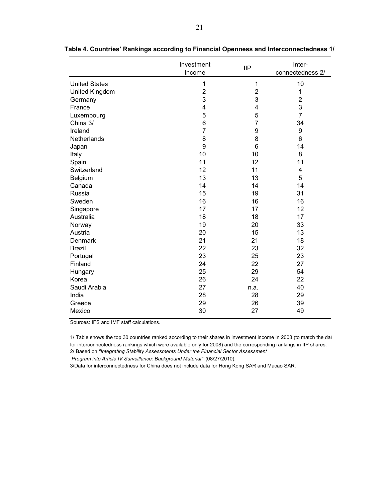|                      | Investment<br>Income | <b>IIP</b>     | Inter-<br>connectedness 2/ |
|----------------------|----------------------|----------------|----------------------------|
|                      |                      |                |                            |
| <b>United States</b> | $\mathbf 1$          | 1              | 10                         |
| United Kingdom       | $\overline{2}$       | $\overline{2}$ | $\mathbf 1$                |
| Germany              | 3                    | 3              | $\overline{2}$             |
| France               | 4                    | 4              | 3                          |
| Luxembourg           | 5                    | 5              | $\overline{7}$             |
| China 3/             | 6                    | $\overline{7}$ | 34                         |
| Ireland              | $\overline{7}$       | 9              | 9                          |
| Netherlands          | 8                    | 8              | 6                          |
| Japan                | 9                    | 6              | 14                         |
| Italy                | 10                   | 10             | 8                          |
| Spain                | 11                   | 12             | 11                         |
| Switzerland          | 12                   | 11             | 4                          |
| Belgium              | 13                   | 13             | 5                          |
| Canada               | 14                   | 14             | 14                         |
| Russia               | 15                   | 19             | 31                         |
| Sweden               | 16                   | 16             | 16                         |
| Singapore            | 17                   | 17             | 12                         |
| Australia            | 18                   | 18             | 17                         |
| Norway               | 19                   | 20             | 33                         |
| Austria              | 20                   | 15             | 13                         |
| Denmark              | 21                   | 21             | 18                         |
| <b>Brazil</b>        | 22                   | 23             | 32                         |
| Portugal             | 23                   | 25             | 23                         |
| Finland              | 24                   | 22             | 27                         |
| Hungary              | 25                   | 29             | 54                         |
| Korea                | 26                   | 24             | 22                         |
| Saudi Arabia         | 27                   | n.a.           | 40                         |
| India                | 28                   | 28             | 29                         |
| Greece               | 29                   | 26             | 39                         |
| Mexico               | 30                   | 27             | 49                         |

**Table 4. Countries' Rankings according to Financial Openness and Interconnectedness 1/** 

Sources: IFS and IMF staff calculations.

1/ Table shows the top 30 countries ranked according to their shares in investment income in 2008 (to match the dat for interconnectedness rankings which were available only for 2008) and the corresponding rankings in IIP shares. 2/ Based on *"Integrating Stability Assessments Under the Financial Sector Assessment*

*Program into Article IV Surveillance: Background Material"* (08/27/2010).

3/Data for interconnectedness for China does not include data for Hong Kong SAR and Macao SAR.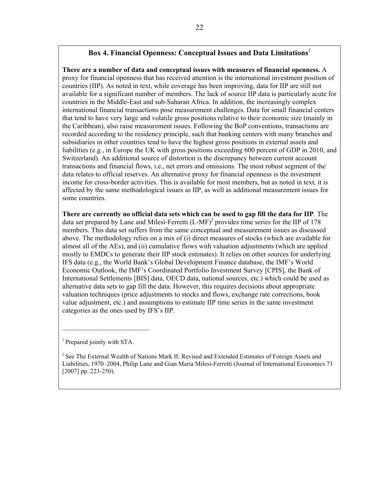## **Box 4. Financial Openness: Conceptual Issues and Data Limitations**<sup>1</sup>

**There are a number of data and conceptual issues with measures of financial openness.** A proxy for financial openness that has received attention is the international investment position of countries (IIP). As noted in text, while coverage has been improving, data for IIP are still not available for a significant number of members. The lack of source IIP data is particularly acute for countries in the Middle-East and sub-Saharan Africa. In addition, the increasingly complex international financial transactions pose measurement challenges. Data for small financial centers that tend to have very large and volatile gross positions relative to their economic size (mainly in the Caribbean), also raise measurement issues. Following the BoP conventions, transactions are recorded according to the residency principle, such that banking centers with many branches and subsidiaries in other countries tend to have the highest gross positions in external assets and liabilities (e.g., in Europe the UK with gross positions exceeding 600 percent of GDP in 2010, and Switzerland). An additional source of distortion is the discrepancy between current account transactions and financial flows, i.e., net errors and omissions. The most robust segment of the data relates to official reserves. An alternative proxy for financial openness is the investment income for cross-border activities. This is available for most members, but as noted in text, it is affected by the same methodological issues as IIP, as well as additional measurement issues for some countries.

**There are currently no official data sets which can be used to gap fill the data for IIP**. The data set prepared by Lane and Milesi-Ferretti  $(L-MF)^2$  provides time series for the IIP of 178 members. This data set suffers from the same conceptual and measurement issues as discussed above. The methodology relies on a mix of (i) direct measures of stocks (which are available for almost all of the AEs), and (ii) cumulative flows with valuation adjustments (which are applied mostly to EMDCs to generate their IIP stock estimates). It relies on other sources for underlying IFS data (e.g., the World Bank's Global Development Finance database, the IMF's World Economic Outlook, the IMF's Coordinated Portfolio Investment Survey [CPIS], the Bank of International Settlements [BIS] data, OECD data, national sources, etc.) which could be used as alternative data sets to gap fill the data. However, this requires decisions about appropriate valuation techniques (price adjustments to stocks and flows, exchange rate corrections, book value adjustment, etc.) and assumptions to estimate IIP time series in the same investment categories as the ones used by IFS's IIP.

1 Prepared jointly with STA.

 $\mathcal{L}_\text{max}$ 

<sup>2</sup> See The External Wealth of Nations Mark II: Revised and Extended Estimates of Foreign Assets and Liabilities, 1970–2004, Philip Lane and Gian Maria Milesi-Ferretti (Journal of International Economics 73 [2007] pp. 223-250).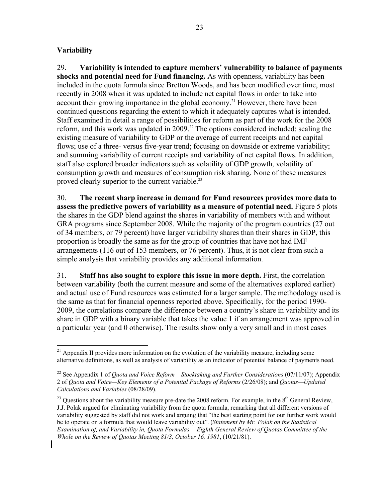## **Variability**

 $\overline{a}$ 

29. **Variability is intended to capture members' vulnerability to balance of payments shocks and potential need for Fund financing.** As with openness, variability has been included in the quota formula since Bretton Woods, and has been modified over time, most recently in 2008 when it was updated to include net capital flows in order to take into account their growing importance in the global economy.<sup>21</sup> However, there have been continued questions regarding the extent to which it adequately captures what is intended. Staff examined in detail a range of possibilities for reform as part of the work for the 2008 reform, and this work was updated in 2009.<sup>22</sup> The options considered included: scaling the existing measure of variability to GDP or the average of current receipts and net capital flows; use of a three- versus five-year trend; focusing on downside or extreme variability; and summing variability of current receipts and variability of net capital flows. In addition, staff also explored broader indicators such as volatility of GDP growth, volatility of consumption growth and measures of consumption risk sharing. None of these measures proved clearly superior to the current variable.<sup>23</sup>

30. **The recent sharp increase in demand for Fund resources provides more data to assess the predictive powers of variability as a measure of potential need.** Figure 5 plots the shares in the GDP blend against the shares in variability of members with and without GRA programs since September 2008. While the majority of the program countries (27 out of 34 members, or 79 percent) have larger variability shares than their shares in GDP, this proportion is broadly the same as for the group of countries that have not had IMF arrangements (116 out of 153 members, or 76 percent). Thus, it is not clear from such a simple analysis that variability provides any additional information.

31. **Staff has also sought to explore this issue in more depth.** First, the correlation between variability (both the current measure and some of the alternatives explored earlier) and actual use of Fund resources was estimated for a larger sample. The methodology used is the same as that for financial openness reported above. Specifically, for the period 1990- 2009, the correlations compare the difference between a country's share in variability and its share in GDP with a binary variable that takes the value 1 if an arrangement was approved in a particular year (and 0 otherwise). The results show only a very small and in most cases

 $21$  Appendix II provides more information on the evolution of the variability measure, including some alternative definitions, as well as analysis of variability as an indicator of potential balance of payments need.

<sup>22</sup> See Appendix 1 of *Quota and Voice Reform – Stocktaking and Further Considerations* (07/11/07); Appendix 2 of *Quota and Voice—Key Elements of a Potential Package of Reforms* (2/26/08); and *Quotas—Updated Calculations and Variables* (08/28/09).

<sup>&</sup>lt;sup>23</sup> Questions about the variability measure pre-date the 2008 reform. For example, in the  $8<sup>th</sup>$  General Review, J.J. Polak argued for eliminating variability from the quota formula, remarking that all different versions of variability suggested by staff did not work and arguing that "the best starting point for our further work would be to operate on a formula that would leave variability out". (*Statement by Mr. Polak on the Statistical Examination of, and Variability in, Quota Formulas —Eighth General Review of Quotas Committee of the Whole on the Review of Quotas Meeting 81/3, October 16, 1981*, (10/21/81).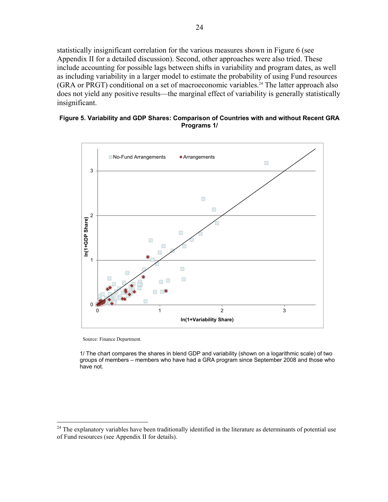statistically insignificant correlation for the various measures shown in Figure 6 (see Appendix II for a detailed discussion). Second, other approaches were also tried. These include accounting for possible lags between shifts in variability and program dates, as well as including variability in a larger model to estimate the probability of using Fund resources  $(GRA \text{ or } PRGT)$  conditional on a set of macroeconomic variables.<sup>24</sup> The latter approach also does not yield any positive results—the marginal effect of variability is generally statistically insignificant.

## **Figure 5. Variability and GDP Shares: Comparison of Countries with and without Recent GRA Programs 1/**



Source: Finance Department.

 $\overline{a}$ 

1/ The chart compares the shares in blend GDP and variability (shown on a logarithmic scale) of two groups of members – members who have had a GRA program since September 2008 and those who have not.

 $24$  The explanatory variables have been traditionally identified in the literature as determinants of potential use of Fund resources (see Appendix II for details).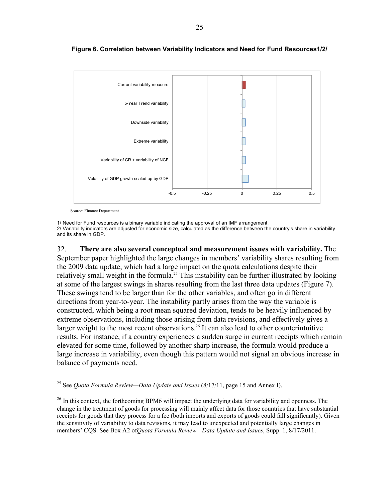

#### **Figure 6. Correlation between Variability Indicators and Need for Fund Resources1/2/**

Source: Finance Department.

<u>.</u>

1/ Need for Fund resources is a binary variable indicating the approval of an IMF arrangement. 2/ Variability indicators are adjusted for economic size, calculated as the difference between the country's share in variability and its share in GDP.

32. **There are also several conceptual and measurement issues with variability.** The September paper highlighted the large changes in members' variability shares resulting from the 2009 data update, which had a large impact on the quota calculations despite their relatively small weight in the formula.<sup>25</sup> This instability can be further illustrated by looking at some of the largest swings in shares resulting from the last three data updates (Figure 7). These swings tend to be larger than for the other variables, and often go in different directions from year-to-year. The instability partly arises from the way the variable is constructed, which being a root mean squared deviation, tends to be heavily influenced by extreme observations, including those arising from data revisions, and effectively gives a larger weight to the most recent observations.<sup>26</sup> It can also lead to other counterintuitive results. For instance, if a country experiences a sudden surge in current receipts which remain elevated for some time, followed by another sharp increase, the formula would produce a large increase in variability, even though this pattern would not signal an obvious increase in balance of payments need.

<sup>25</sup> See *Quota Formula Review—Data Update and Issues* (8/17/11, page 15 and Annex I).

 $26$  In this context, the forthcoming BPM6 will impact the underlying data for variability and openness. The change in the treatment of goods for processing will mainly affect data for those countries that have substantial receipts for goods that they process for a fee (both imports and exports of goods could fall significantly). Given the sensitivity of variability to data revisions, it may lead to unexpected and potentially large changes in members' CQS. See Box A2 of*Quota Formula Review—Data Update and Issues*, Supp. 1, 8/17/2011.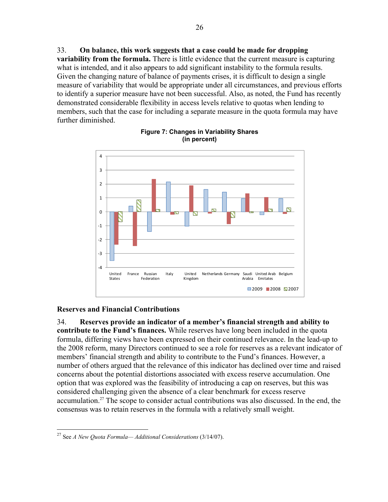33. **On balance, this work suggests that a case could be made for dropping variability from the formula.** There is little evidence that the current measure is capturing what is intended, and it also appears to add significant instability to the formula results. Given the changing nature of balance of payments crises, it is difficult to design a single measure of variability that would be appropriate under all circumstances, and previous efforts to identify a superior measure have not been successful. Also, as noted, the Fund has recently demonstrated considerable flexibility in access levels relative to quotas when lending to members, such that the case for including a separate measure in the quota formula may have further diminished.



## **Figure 7: Changes in Variability Shares (in percent)**

## **Reserves and Financial Contributions**

34. **Reserves provide an indicator of a member's financial strength and ability to contribute to the Fund's finances.** While reserves have long been included in the quota formula, differing views have been expressed on their continued relevance. In the lead-up to the 2008 reform, many Directors continued to see a role for reserves as a relevant indicator of members' financial strength and ability to contribute to the Fund's finances. However, a number of others argued that the relevance of this indicator has declined over time and raised concerns about the potential distortions associated with excess reserve accumulation. One option that was explored was the feasibility of introducing a cap on reserves, but this was considered challenging given the absence of a clear benchmark for excess reserve accumulation.27 The scope to consider actual contributions was also discussed. In the end, the consensus was to retain reserves in the formula with a relatively small weight.

<sup>27</sup> See *A New Quota Formula— Additional Considerations* (3/14/07).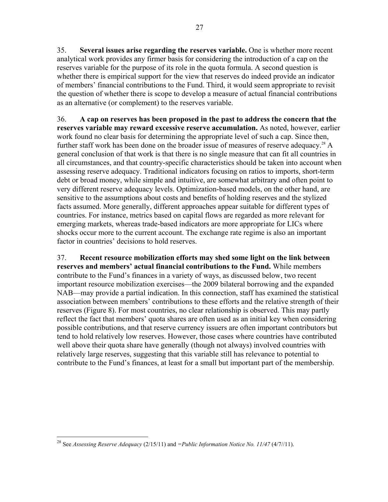35. **Several issues arise regarding the reserves variable.** One is whether more recent analytical work provides any firmer basis for considering the introduction of a cap on the reserves variable for the purpose of its role in the quota formula. A second question is whether there is empirical support for the view that reserves do indeed provide an indicator of members' financial contributions to the Fund. Third, it would seem appropriate to revisit the question of whether there is scope to develop a measure of actual financial contributions as an alternative (or complement) to the reserves variable.

36. **A cap on reserves has been proposed in the past to address the concern that the reserves variable may reward excessive reserve accumulation.** As noted, however, earlier work found no clear basis for determining the appropriate level of such a cap. Since then, further staff work has been done on the broader issue of measures of reserve adequacy.<sup>28</sup> A general conclusion of that work is that there is no single measure that can fit all countries in all circumstances, and that country-specific characteristics should be taken into account when assessing reserve adequacy. Traditional indicators focusing on ratios to imports, short-term debt or broad money, while simple and intuitive, are somewhat arbitrary and often point to very different reserve adequacy levels. Optimization-based models, on the other hand, are sensitive to the assumptions about costs and benefits of holding reserves and the stylized facts assumed. More generally, different approaches appear suitable for different types of countries. For instance, metrics based on capital flows are regarded as more relevant for emerging markets, whereas trade-based indicators are more appropriate for LICs where shocks occur more to the current account. The exchange rate regime is also an important factor in countries' decisions to hold reserves.

37. **Recent resource mobilization efforts may shed some light on the link between reserves and members' actual financial contributions to the Fund.** While members contribute to the Fund's finances in a variety of ways, as discussed below, two recent important resource mobilization exercises—the 2009 bilateral borrowing and the expanded NAB—may provide a partial indication. In this connection, staff has examined the statistical association between members' contributions to these efforts and the relative strength of their reserves (Figure 8). For most countries, no clear relationship is observed. This may partly reflect the fact that members' quota shares are often used as an initial key when considering possible contributions, and that reserve currency issuers are often important contributors but tend to hold relatively low reserves. However, those cases where countries have contributed well above their quota share have generally (though not always) involved countries with relatively large reserves, suggesting that this variable still has relevance to potential to contribute to the Fund's finances, at least for a small but important part of the membership.

 $\overline{a}$ <sup>28</sup> See *Assessing Reserve Adequacy* (2/15/11) and *=Public Information Notice No. 11/47* (4/7//11).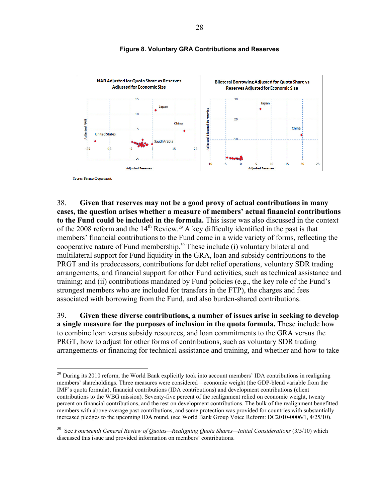

## **Figure 8. Voluntary GRA Contributions and Reserves**

Source: Finance Department

 $\overline{a}$ 

38. **Given that reserves may not be a good proxy of actual contributions in many cases, the question arises whether a measure of members' actual financial contributions to the Fund could be included in the formula.** This issue was also discussed in the context of the 2008 reform and the  $14<sup>th</sup>$  Review.<sup>29</sup> A key difficulty identified in the past is that members' financial contributions to the Fund come in a wide variety of forms, reflecting the cooperative nature of Fund membership.<sup>30</sup> These include (i) voluntary bilateral and multilateral support for Fund liquidity in the GRA, loan and subsidy contributions to the PRGT and its predecessors, contributions for debt relief operations, voluntary SDR trading arrangements, and financial support for other Fund activities, such as technical assistance and training; and (ii) contributions mandated by Fund policies (e.g., the key role of the Fund's strongest members who are included for transfers in the FTP), the charges and fees associated with borrowing from the Fund, and also burden-shared contributions.

39. **Given these diverse contributions, a number of issues arise in seeking to develop a single measure for the purposes of inclusion in the quota formula.** These include how to combine loan versus subsidy resources, and loan commitments to the GRA versus the PRGT, how to adjust for other forms of contributions, such as voluntary SDR trading arrangements or financing for technical assistance and training, and whether and how to take

 $^{29}$  During its 2010 reform, the World Bank explicitly took into account members' IDA contributions in realigning members' shareholdings. Three measures were considered—economic weight (the GDP-blend variable from the IMF's quota formula), financial contributions (IDA contributions) and development contributions (client contributions to the WBG mission). Seventy-five percent of the realignment relied on economic weight, twenty percent on financial contributions, and the rest on development contributions. The bulk of the realignment benefitted members with above-average past contributions, and some protection was provided for countries with substantially increased pledges to the upcoming IDA round. (see World Bank Group Voice Reform: DC2010-0006/1, 4/25/10).

<sup>30</sup> See *Fourteenth General Review of Quotas—Realigning Quota Shares—Initial Considerations* (3/5/10) which discussed this issue and provided information on members' contributions.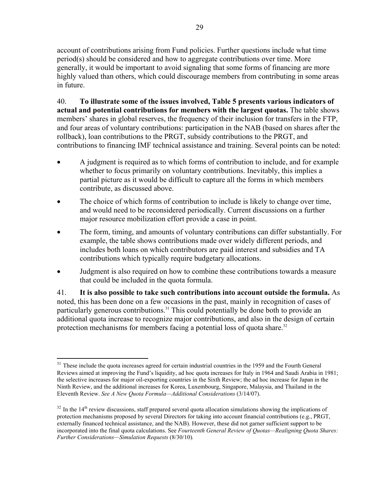account of contributions arising from Fund policies. Further questions include what time period(s) should be considered and how to aggregate contributions over time. More generally, it would be important to avoid signaling that some forms of financing are more highly valued than others, which could discourage members from contributing in some areas in future.

40. **To illustrate some of the issues involved, Table 5 presents various indicators of actual and potential contributions for members with the largest quotas.** The table shows members' shares in global reserves, the frequency of their inclusion for transfers in the FTP, and four areas of voluntary contributions: participation in the NAB (based on shares after the rollback), loan contributions to the PRGT, subsidy contributions to the PRGT, and contributions to financing IMF technical assistance and training. Several points can be noted:

- A judgment is required as to which forms of contribution to include, and for example whether to focus primarily on voluntary contributions. Inevitably, this implies a partial picture as it would be difficult to capture all the forms in which members contribute, as discussed above.
- The choice of which forms of contribution to include is likely to change over time, and would need to be reconsidered periodically. Current discussions on a further major resource mobilization effort provide a case in point.
- The form, timing, and amounts of voluntary contributions can differ substantially. For example, the table shows contributions made over widely different periods, and includes both loans on which contributors are paid interest and subsidies and TA contributions which typically require budgetary allocations.
- Judgment is also required on how to combine these contributions towards a measure that could be included in the quota formula.

41. **It is also possible to take such contributions into account outside the formula.** As noted, this has been done on a few occasions in the past, mainly in recognition of cases of particularly generous contributions.<sup>31</sup> This could potentially be done both to provide an additional quota increase to recognize major contributions, and also in the design of certain protection mechanisms for members facing a potential loss of quota share.<sup>32</sup>

<sup>&</sup>lt;sup>31</sup> These include the quota increases agreed for certain industrial countries in the 1959 and the Fourth General Reviews aimed at improving the Fund's liquidity, ad hoc quota increases for Italy in 1964 and Saudi Arabia in 1981; the selective increases for major oil-exporting countries in the Sixth Review; the ad hoc increase for Japan in the Ninth Review, and the additional increases for Korea, Luxembourg, Singapore, Malaysia, and Thailand in the Eleventh Review. *See A New Quota Formula—Additional Considerations* (3/14/07).

 $32$  In the 14<sup>th</sup> review discussions, staff prepared several quota allocation simulations showing the implications of protection mechanisms proposed by several Directors for taking into account financial contributions (e.g., PRGT, externally financed technical assistance, and the NAB). However, these did not garner sufficient support to be incorporated into the final quota calculations. See *Fourteenth General Review of Quotas—Realigning Quota Shares: Further Considerations—Simulation Requests* (8/30/10)*.*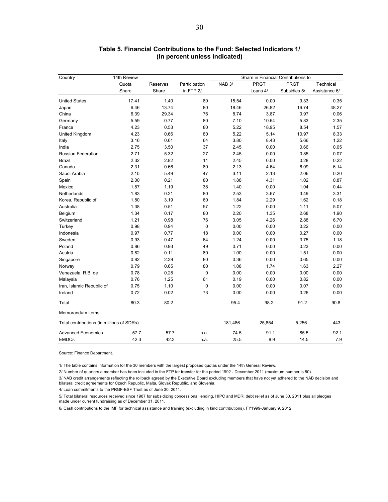| Country                                   | 14th Review |          |               | Share in Financial Contributions to |             |              |               |  |
|-------------------------------------------|-------------|----------|---------------|-------------------------------------|-------------|--------------|---------------|--|
|                                           | Quota       | Reserves | Participation | NAB <sub>3</sub> /                  | <b>PRGT</b> | PRGT         | Technical     |  |
|                                           | Share       | Share    | in FTP 2/     |                                     | Loans 4/    | Subsidies 5/ | Assistance 6/ |  |
| <b>United States</b>                      | 17.41       | 1.40     | 80            | 15.54                               | 0.00        | 9.33         | 0.35          |  |
| Japan                                     | 6.46        | 13.74    | 80            | 18.46                               | 26.82       | 16.74        | 48.27         |  |
| China                                     | 6.39        | 29.34    | 76            | 8.74                                | 3.87        | 0.97         | 0.06          |  |
| Germany                                   | 5.59        | 0.77     | 80            | 7.10                                | 10.64       | 5.83         | 2.35          |  |
| France                                    | 4.23        | 0.53     | 80            | 5.22                                | 18.95       | 8.54         | 1.57          |  |
| United Kingdom                            | 4.23        | 0.66     | 80            | 5.22                                | 5.14        | 10.97        | 8.33          |  |
| Italy                                     | 3.16        | 0.61     | 64            | 3.80                                | 8.43        | 5.66         | 1.22          |  |
| India                                     | 2.75        | 3.50     | 37            | 2.45                                | 0.00        | 0.66         | 0.05          |  |
| <b>Russian Federation</b>                 | 2.71        | 5.32     | 27            | 2.45                                | 0.00        | 0.85         | 0.07          |  |
| Brazil                                    | 2.32        | 2.82     | 11            | 2.45                                | 0.00        | 0.28         | 0.22          |  |
| Canada                                    | 2.31        | 0.66     | 80            | 2.13                                | 4.64        | 6.09         | 6.14          |  |
| Saudi Arabia                              | 2.10        | 5.49     | 47            | 3.11                                | 2.13        | 2.06         | 0.20          |  |
| Spain                                     | 2.00        | 0.21     | 80            | 1.88                                | 4.31        | 1.02         | 0.87          |  |
| Mexico                                    | 1.87        | 1.19     | 38            | 1.40                                | 0.00        | 1.04         | 0.44          |  |
| Netherlands                               | 1.83        | 0.21     | 80            | 2.53                                | 3.67        | 3.49         | 3.31          |  |
| Korea, Republic of                        | 1.80        | 3.19     | 60            | 1.84                                | 2.29        | 1.62         | 0.18          |  |
| Australia                                 | 1.38        | 0.51     | 57            | 1.22                                | 0.00        | 1.11         | 5.07          |  |
| Belgium                                   | 1.34        | 0.17     | 80            | 2.20                                | 1.35        | 2.68         | 1.90          |  |
| Switzerland                               | 1.21        | 0.98     | 76            | 3.05                                | 4.26        | 2.88         | 6.70          |  |
| Turkey                                    | 0.98        | 0.94     | 0             | 0.00                                | 0.00        | 0.22         | 0.00          |  |
| Indonesia                                 | 0.97        | 0.77     | 18            | 0.00                                | 0.00        | 0.27         | 0.00          |  |
| Sweden                                    | 0.93        | 0.47     | 64            | 1.24                                | 0.00        | 3.75         | 1.18          |  |
| Poland                                    | 0.86        | 0.93     | 49            | 0.71                                | 0.00        | 0.23         | 0.00          |  |
| Austria                                   | 0.82        | 0.11     | 80            | 1.00                                | 0.00        | 1.51         | 0.00          |  |
| Singapore                                 | 0.82        | 2.39     | 80            | 0.36                                | 0.00        | 0.65         | 0.00          |  |
| Norway                                    | 0.79        | 0.65     | 80            | 1.08                                | 1.74        | 1.63         | 2.27          |  |
| Venezuela, R.B. de                        | 0.78        | 0.28     | 0             | 0.00                                | 0.00        | 0.00         | 0.00          |  |
| Malaysia                                  | 0.76        | 1.25     | 61            | 0.19                                | 0.00        | 0.82         | 0.00          |  |
| Iran, Islamic Republic of                 | 0.75        | 1.10     | 0             | 0.00                                | 0.00        | 0.07         | 0.00          |  |
| Ireland                                   | 0.72        | 0.02     | 73            | 0.00                                | 0.00        | 0.26         | 0.00          |  |
| Total                                     | 80.3        | 80.2     |               | 95.4                                | 98.2        | 91.2         | 90.8          |  |
| Memorandum items:                         |             |          |               |                                     |             |              |               |  |
| Total contributions (in millions of SDRs) |             |          |               | 181,486                             | 25,854      | 5,256        | 443           |  |
| <b>Advanced Economies</b>                 | 57.7        | 57.7     | n.a.          | 74.5                                | 91.1        | 85.5         | 92.1          |  |
| <b>EMDCs</b>                              | 42.3        | 42.3     | n.a.          | 25.5                                | 8.9         | 14.5         | 7.9           |  |

#### **Table 5. Financial Contributions to the Fund: Selected Indicators 1/ (In percent unless indicated)**

Source: Finance Department.

1/ The table contains information for the 30 members with the largest proposed quotas under the 14th General Review.

2/ Number of quarters a member has been included in the FTP for transfer for the period 1992 - December 2011 (maximum number is 80).

3/ NAB credit arrangements reflecting the rollback agreed by the Executive Board excluding members that have not yet adhered to the NAB decision and bilateral credit agreements for Czech Republic, Malta, Slovak Republic, and Slovenia.

4/ Loan commitments to the PRGF-ESF Trust as of June 30, 2011.

5/ Total bilateral resources received since 1987 for subsidizing concessional lending, HIPC and MDRI debt relief as of June 30, 2011 plus all pledges made under current fundraising as of December 31, 2011.

6/ Cash contributions to the IMF for technical assistance and training (excluding in kind contributions), FY1999-January 9, 2012.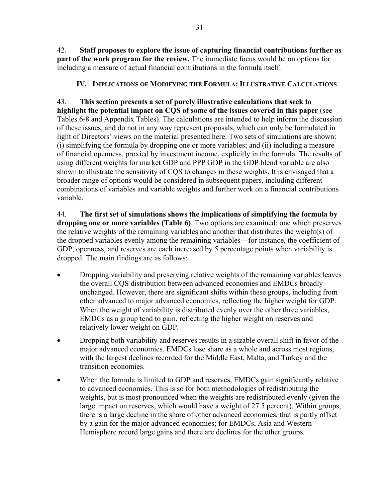42. **Staff proposes to explore the issue of capturing financial contributions further as part of the work program for the review.** The immediate focus would be on options for including a measure of actual financial contributions in the formula itself.

# **IV. IMPLICATIONS OF MODIFYING THE FORMULA: ILLUSTRATIVE CALCULATIONS**

43. **This section presents a set of purely illustrative calculations that seek to highlight the potential impact on CQS of some of the issues covered in this paper** (see Tables 6-8 and Appendix Tables). The calculations are intended to help inform the discussion of these issues, and do not in any way represent proposals, which can only be formulated in light of Directors' views on the material presented here. Two sets of simulations are shown: (i) simplifying the formula by dropping one or more variables; and (ii) including a measure of financial openness, proxied by investment income, explicitly in the formula. The results of using different weights for market GDP and PPP GDP in the GDP blend variable are also shown to illustrate the sensitivity of CQS to changes in these weights. It is envisaged that a broader range of options would be considered in subsequent papers, including different combinations of variables and variable weights and further work on a financial contributions variable.

44. **The first set of simulations shows the implications of simplifying the formula by dropping one or more variables (Table 6)**. Two options are examined: one which preserves the relative weights of the remaining variables and another that distributes the weight(s) of the dropped variables evenly among the remaining variables—for instance, the coefficient of GDP, openness, and reserves are each increased by 5 percentage points when variability is dropped. The main findings are as follows:

- Dropping variability and preserving relative weights of the remaining variables leaves the overall CQS distribution between advanced economies and EMDCs broadly unchanged. However, there are significant shifts within these groups, including from other advanced to major advanced economies, reflecting the higher weight for GDP. When the weight of variability is distributed evenly over the other three variables, EMDCs as a group tend to gain, reflecting the higher weight on reserves and relatively lower weight on GDP.
- Dropping both variability and reserves results in a sizable overall shift in favor of the major advanced economies. EMDCs lose share as a whole and across most regions, with the largest declines recorded for the Middle East, Malta, and Turkey and the transition economies.
- When the formula is limited to GDP and reserves, EMDCs gain significantly relative to advanced economies. This is so for both methodologies of redistributing the weights, but is most pronounced when the weights are redistributed evenly (given the large impact on reserves, which would have a weight of 27.5 percent). Within groups, there is a large decline in the share of other advanced economies, that is partly offset by a gain for the major advanced economies; for EMDCs, Asia and Western Hemisphere record large gains and there are declines for the other groups.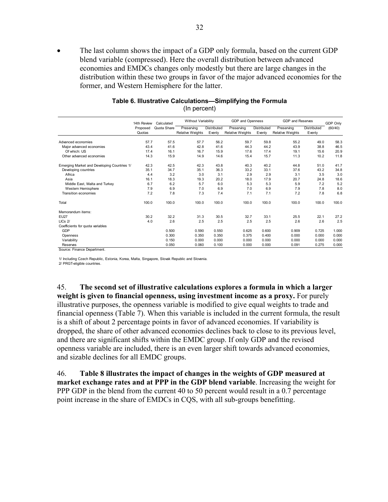The last column shows the impact of a GDP only formula, based on the current GDP blend variable (compressed). Here the overall distribution between advanced economies and EMDCs changes only modestly but there are large changes in the distribution within these two groups in favor of the major advanced economies for the former, and Western Hemisphere for the latter.

|                                             | 14th Review<br>Calculated |             | GDP and Openness<br>Without Variability |                       |                                       |                       | GDP and Reserves                      | GDP Only              |         |
|---------------------------------------------|---------------------------|-------------|-----------------------------------------|-----------------------|---------------------------------------|-----------------------|---------------------------------------|-----------------------|---------|
|                                             | Proposed<br>Quotas        | Quota Share | Preserving<br><b>Relative Weights</b>   | Distributed<br>Evenly | Preserving<br><b>Relative Weights</b> | Distributed<br>Evenly | Preserving<br><b>Relative Weights</b> | Distributed<br>Evenly | (60/40) |
|                                             |                           |             |                                         |                       |                                       |                       |                                       |                       |         |
| Advanced economies                          | 57.7                      | 57.5        | 57.7                                    | 56.2                  | 59.7                                  | 59.8                  | 55.2                                  | 49.0                  | 58.3    |
| Major advanced economies                    | 43.4                      | 41.6        | 42.8                                    | 41.6                  | 44.3                                  | 44.2                  | 43.9                                  | 38.8                  | 46.5    |
| Of which: US                                | 17.4                      | 16.1        | 16.7                                    | 15.9                  | 17.6                                  | 17.4                  | 19.1                                  | 15.6                  | 20.9    |
| Other advanced economies                    | 14.3                      | 15.9        | 14.9                                    | 14.6                  | 15.4                                  | 15.7                  | 11.3                                  | 10.2                  | 11.8    |
| Emerging Market and Developing Countries 1/ | 42.3                      | 42.5        | 42.3                                    | 43.8                  | 40.3                                  | 40.2                  | 44.8                                  | 51.0                  | 41.7    |
| Developing countries                        | 35.1                      | 34.7        | 35.1                                    | 36.3                  | 33.2                                  | 33.1                  | 37.6                                  | 43.2                  | 34.8    |
| Africa                                      | 4.4                       | 3.2         | 3.0                                     | 3.1                   | 2.9                                   | 2.9                   | 3.1                                   | 3.5                   | 3.0     |
| Asia                                        | 16.1                      | 18.3        | 19.3                                    | 20.2                  | 18.0                                  | 17.9                  | 20.7                                  | 24.8                  | 18.6    |
| Middle East, Malta and Turkey               | 6.7                       | 6.2         | 5.7                                     | 6.0                   | 5.3                                   | 5.3                   | 5.9                                   | 7.2                   | 5.2     |
| Western Hemisphere                          | 7.9                       | 6.9         | 7.0                                     | 6.9                   | 7.0                                   | 6.9                   | 7.9                                   | 7.8                   | 8.0     |
| Transition economies                        | 7.2                       | 7.8         | 7.3                                     | 7.4                   | 7.1                                   | 7.1                   | 7.2                                   | 7.8                   | 6.8     |
| Total                                       | 100.0                     | 100.0       | 100.0                                   | 100.0                 | 100.0                                 | 100.0                 | 100.0                                 | 100.0                 | 100.0   |
| Memorandum items:                           |                           |             |                                         |                       |                                       |                       |                                       |                       |         |
| <b>EU27</b>                                 | 30.2                      | 32.2        | 31.3                                    | 30.5                  | 32.7                                  | 33.1                  | 25.5                                  | 22.1                  | 27.2    |
| $LICs$ $2/$                                 | 4.0                       | 2.6         | 2.5                                     | 2.5                   | 2.5                                   | 2.5                   | 2.6                                   | 2.6                   | 2.5     |
| Coefficients for quota variables            |                           |             |                                         |                       |                                       |                       |                                       |                       |         |
| GDP                                         |                           | 0.500       | 0.590                                   | 0.550                 | 0.625                                 | 0.600                 | 0.909                                 | 0.725                 | 1.000   |
| Openness                                    |                           | 0.300       | 0.350                                   | 0.350                 | 0.375                                 | 0.400                 | 0.000                                 | 0.000                 | 0.000   |
| Variability                                 |                           | 0.150       | 0.000                                   | 0.000                 | 0.000                                 | 0.000                 | 0.000                                 | 0.000                 | 0.000   |
| Reserves                                    |                           | 0.050       | 0.060                                   | 0.100                 | 0.000                                 | 0.000                 | 0.091                                 | 0.275                 | 0.000   |
| Source: Finance Department.                 |                           |             |                                         |                       |                                       |                       |                                       |                       |         |

#### **Table 6. Illustrative Calculations—Simplifying the Formula**  (In percent)

1/ Including Czech Republic, Estonia, Korea, Malta, Singapore, Slovak Republic and Slovenia.

2/ PRGT-eligible countries.

45. **The second set of illustrative calculations explores a formula in which a larger weight is given to financial openness, using investment income as a proxy.** For purely illustrative purposes, the openness variable is modified to give equal weights to trade and financial openness (Table 7). When this variable is included in the current formula, the result is a shift of about 2 percentage points in favor of advanced economies. If variability is dropped, the share of other advanced economies declines back to close to its previous level, and there are significant shifts within the EMDC group. If only GDP and the revised openness variable are included, there is an even larger shift towards advanced economies, and sizable declines for all EMDC groups.

46. **Table 8 illustrates the impact of changes in the weights of GDP measured at market exchange rates and at PPP in the GDP blend variable**. Increasing the weight for PPP GDP in the blend from the current 40 to 50 percent would result in a 0.7 percentage point increase in the share of EMDCs in CQS, with all sub-groups benefitting.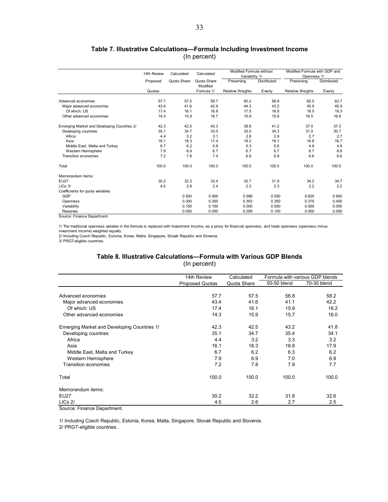### **Table 7. Illustrative Calculations—Formula Including Investment Income**  (In percent)

|                                             | 14th Review | Calculated  | Calculated              | Modified Formula without<br>Variability 1/ |             | Modified Formula with GDP and<br>Openness 1/ |                    |
|---------------------------------------------|-------------|-------------|-------------------------|--------------------------------------------|-------------|----------------------------------------------|--------------------|
|                                             | Proposed    | Quota Share | Quota Share<br>Modified | Preserving                                 | Distributed | Preserving                                   | <b>Distributed</b> |
|                                             | Quotas      |             | Formula 1/              | <b>Relative Weights</b>                    | Evenly      | <b>Relative Weights</b>                      | Evenly             |
| Advanced economies                          | 57.7        | 57.5        | 59.7                    | 60.2                                       | 58.8        | 62.5                                         | 62.7               |
| Major advanced economies                    | 43.4        | 41.6        | 42.9                    | 44.3                                       | 43.2        | 45.9                                         | 45.9               |
| Of which: US                                | 17.4        | 16.1        | 16.8                    | 17.5                                       | 16.8        | 18.5                                         | 18.3               |
| Other advanced economies                    | 14.3        | 15.9        | 16.7                    | 15.9                                       | 15.6        | 16.5                                         | 16.8               |
| Emerging Market and Developing Countries 2/ | 42.3        | 42.5        | 40.3                    | 39.8                                       | 41.2        | 37.5                                         | 37.3               |
| Developing countries                        | 35.1        | 34.7        | 33.0                    | 33.0                                       | 34.3        | 31.0                                         | 30.7               |
| Africa                                      | 4.4         | 3.2         | 3.1                     | 2.8                                        | 2.9         | 2.7                                          | 2.7                |
| Asia                                        | 16.1        | 18.3        | 17.4                    | 18.2                                       | 19.1        | 16.8                                         | 16.7               |
| Middle East, Malta and Turkey               | 6.7         | 6.2         | 5.8                     | 5.3                                        | 5.6         | 4.8                                          | 4.8                |
| Western Hemisphere                          | 7.9         | 6.9         | 6.7                     | 6.7                                        | 6.7         | 6.7                                          | 6.6                |
| <b>Transition economies</b>                 | 7.2         | 7.8         | 7.4                     | 6.8                                        | 6.9         | 6.6                                          | 6.6                |
| Total                                       | 100.0       | 100.0       | 100.0                   | 100.0                                      | 100.0       | 100.0                                        | 100.0              |
| Memorandum items:                           |             |             |                         |                                            |             |                                              |                    |
| <b>EU27</b>                                 | 30.2        | 32.2        | 33.4                    | 32.7                                       | 31.9        | 34.2                                         | 34.7               |
| $LICs$ 3/                                   | 4.0         | 2.6         | 2.4                     | 2.3                                        | 2.3         | 2.2                                          | 2.2                |
| Coefficients for quota variables            |             |             |                         |                                            |             |                                              |                    |
| GDP                                         |             | 0.500       | 0.500                   | 0.588                                      | 0.550       | 0.625                                        | 0.600              |
| Openness                                    |             | 0.300       | 0.300                   | 0.353                                      | 0.350       | 0.375                                        | 0.400              |
| Variability                                 |             | 0.150       | 0.150                   | 0.000                                      | 0.000       | 0.000                                        | 0.000              |
| Reserves                                    |             | 0.050       | 0.050                   | 0.059                                      | 0.100       | 0.000                                        | 0.000              |

Source: Finance Department.

1/ The traditional openness variable in the formula is replaced with Investment Income, as a proxy for financial openness, and trade openness (openness minus

investment income) weighted equally.

2/ Including Czech Republic, Estonia, Korea, Malta, Singapore, Slovak Republic and Slovenia.

3/ PRGT-eligible countries.

#### **Table 8. Illustrative Calculations—Formula with Various GDP Blends**  (In percent)

|                                             | 14th Review            | Calculated  |             | Formula with various GDP blends |
|---------------------------------------------|------------------------|-------------|-------------|---------------------------------|
|                                             | <b>Proposed Quotas</b> | Quota Share | 50-50 blend | 70-30 blend                     |
|                                             |                        |             |             |                                 |
| Advanced economies                          | 57.7                   | 57.5        | 56.8        | 58.2                            |
| Major advanced economies                    | 43.4                   | 41.6        | 41.1        | 42.2                            |
| Of which: US                                | 17.4                   | 16.1        | 15.9        | 16.2                            |
| Other advanced economies                    | 14.3                   | 15.9        | 15.7        | 16.0                            |
| Emerging Market and Developing Countries 1/ | 42.3                   | 42.5        | 43.2        | 41.8                            |
| Developing countries                        | 35.1                   | 34.7        | 35.4        | 34.1                            |
| Africa                                      | 4.4                    | 3.2         | 3.3         | 3.2                             |
| Asia                                        | 16.1                   | 18.3        | 18.8        | 17.9                            |
| Middle East, Malta and Turkey               | 6.7                    | 6.2         | 6.3         | 6.2                             |
| Western Hemisphere                          | 7.9                    | 6.9         | 7.0         | 6.9                             |
| <b>Transition economies</b>                 | 7.2                    | 7.8         | 7.9         | 7.7                             |
| Total                                       | 100.0                  | 100.0       | 100.0       | 100.0                           |
| Memorandum items:                           |                        |             |             |                                 |
| <b>EU27</b>                                 | 30.2                   | 32.2        | 31.8        | 32.6                            |
| $LICs$ 2/                                   | 4.0                    | 2.6         | 2.7         | 2.5                             |

Source: Finance Department.

1/ Including Czech Republic, Estonia, Korea, Malta, Singapore, Slovak Republic and Slovenia.

2/ PRGT-eligible countries.